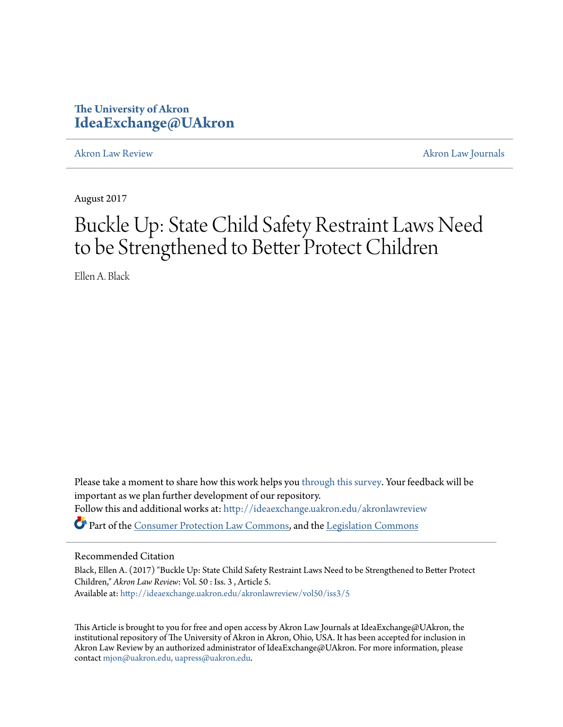### **The University of Akron [IdeaExchange@UAkron](http://ideaexchange.uakron.edu?utm_source=ideaexchange.uakron.edu%2Fakronlawreview%2Fvol50%2Fiss3%2F5&utm_medium=PDF&utm_campaign=PDFCoverPages)**

[Akron Law Review](http://ideaexchange.uakron.edu/akronlawreview?utm_source=ideaexchange.uakron.edu%2Fakronlawreview%2Fvol50%2Fiss3%2F5&utm_medium=PDF&utm_campaign=PDFCoverPages) [Akron Law Journals](http://ideaexchange.uakron.edu/akronlawjournals?utm_source=ideaexchange.uakron.edu%2Fakronlawreview%2Fvol50%2Fiss3%2F5&utm_medium=PDF&utm_campaign=PDFCoverPages)

August 2017

# Buckle Up: State Child Safety Restraint Laws Need to be Strengthened to Better Protect Children

Ellen A. Black

Please take a moment to share how this work helps you [through this survey.](http://survey.az1.qualtrics.com/SE/?SID=SV_eEVH54oiCbOw05f&URL=http://ideaexchange.uakron.edu/akronlawreview/vol50/iss3/5) Your feedback will be important as we plan further development of our repository. Follow this and additional works at: [http://ideaexchange.uakron.edu/akronlawreview](http://ideaexchange.uakron.edu/akronlawreview?utm_source=ideaexchange.uakron.edu%2Fakronlawreview%2Fvol50%2Fiss3%2F5&utm_medium=PDF&utm_campaign=PDFCoverPages) Part of the [Consumer Protection Law Commons](http://network.bepress.com/hgg/discipline/838?utm_source=ideaexchange.uakron.edu%2Fakronlawreview%2Fvol50%2Fiss3%2F5&utm_medium=PDF&utm_campaign=PDFCoverPages), and the [Legislation Commons](http://network.bepress.com/hgg/discipline/859?utm_source=ideaexchange.uakron.edu%2Fakronlawreview%2Fvol50%2Fiss3%2F5&utm_medium=PDF&utm_campaign=PDFCoverPages)

### Recommended Citation

Black, Ellen A. (2017) "Buckle Up: State Child Safety Restraint Laws Need to be Strengthened to Better Protect Children," *Akron Law Review*: Vol. 50 : Iss. 3 , Article 5. Available at: [http://ideaexchange.uakron.edu/akronlawreview/vol50/iss3/5](http://ideaexchange.uakron.edu/akronlawreview/vol50/iss3/5?utm_source=ideaexchange.uakron.edu%2Fakronlawreview%2Fvol50%2Fiss3%2F5&utm_medium=PDF&utm_campaign=PDFCoverPages)

This Article is brought to you for free and open access by Akron Law Journals at IdeaExchange@UAkron, the institutional repository of The University of Akron in Akron, Ohio, USA. It has been accepted for inclusion in Akron Law Review by an authorized administrator of IdeaExchange@UAkron. For more information, please contact [mjon@uakron.edu, uapress@uakron.edu.](mailto:mjon@uakron.edu,%20uapress@uakron.edu)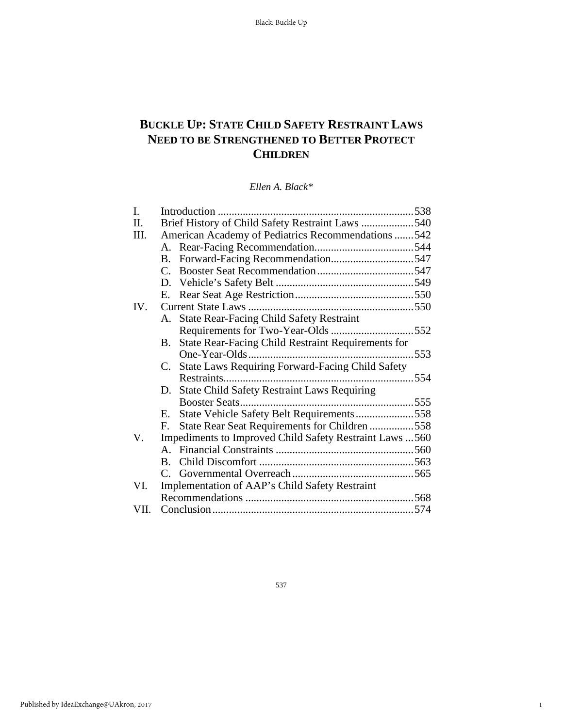## **BUCKLE UP: STATE CHILD SAFETY RESTRAINT LAWS NEED TO BE STRENGTHENED TO BETTER PROTECT CHILDREN**

*Ellen A. Black\**

| I.      |                                                                 |  |
|---------|-----------------------------------------------------------------|--|
| $\Pi$ . | Brief History of Child Safety Restraint Laws 540                |  |
| III.    | American Academy of Pediatrics Recommendations 542              |  |
|         |                                                                 |  |
|         | B. Forward-Facing Recommendation547                             |  |
|         |                                                                 |  |
|         |                                                                 |  |
|         | E.                                                              |  |
| IV.     |                                                                 |  |
|         | A. State Rear-Facing Child Safety Restraint                     |  |
|         |                                                                 |  |
|         | State Rear-Facing Child Restraint Requirements for<br>B.        |  |
|         |                                                                 |  |
|         | State Laws Requiring Forward-Facing Child Safety<br>$C_{\cdot}$ |  |
|         |                                                                 |  |
|         | State Child Safety Restraint Laws Requiring<br>D.               |  |
|         |                                                                 |  |
|         | State Vehicle Safety Belt Requirements558<br>Е.                 |  |
|         | State Rear Seat Requirements for Children 558<br>F.             |  |
| V.      | Impediments to Improved Child Safety Restraint Laws  560        |  |
|         |                                                                 |  |
|         |                                                                 |  |
|         |                                                                 |  |
| VI.     | Implementation of AAP's Child Safety Restraint                  |  |
|         |                                                                 |  |
| VII.    |                                                                 |  |
|         |                                                                 |  |

537

1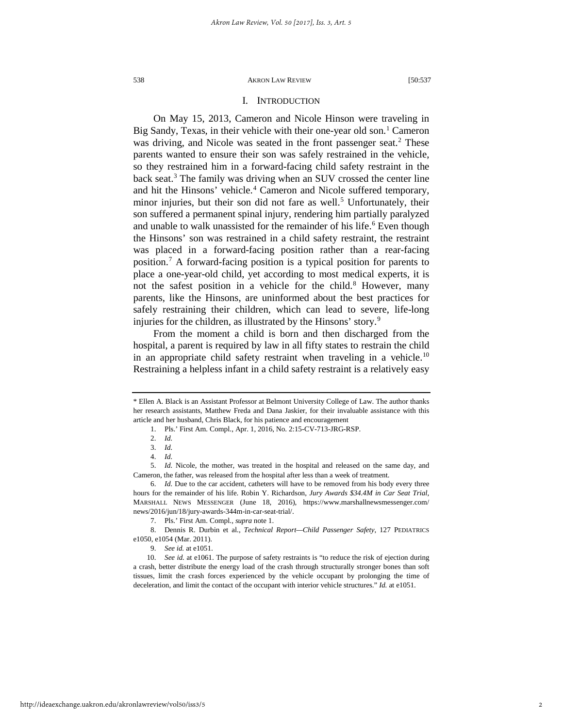#### I. INTRODUCTION

On May 15, 2013, Cameron and Nicole Hinson were traveling in Big Sandy, Texas, in their vehicle with their one-year old son.<sup>[1](#page-2-0)</sup> Cameron was driving, and Nicole was seated in the front passenger seat.<sup>[2](#page-2-1)</sup> These parents wanted to ensure their son was safely restrained in the vehicle, so they restrained him in a forward-facing child safety restraint in the back seat.[3](#page-2-2) The family was driving when an SUV crossed the center line and hit the Hinsons' vehicle.<sup>[4](#page-2-3)</sup> Cameron and Nicole suffered temporary, minor injuries, but their son did not fare as well.<sup>5</sup> Unfortunately, their son suffered a permanent spinal injury, rendering him partially paralyzed and unable to walk unassisted for the remainder of his life.<sup>[6](#page-2-5)</sup> Even though the Hinsons' son was restrained in a child safety restraint, the restraint was placed in a forward-facing position rather than a rear-facing position.[7](#page-2-6) A forward-facing position is a typical position for parents to place a one-year-old child, yet according to most medical experts, it is not the safest position in a vehicle for the child.<sup>[8](#page-2-7)</sup> However, many parents, like the Hinsons, are uninformed about the best practices for safely restraining their children, which can lead to severe, life-long injuries for the children, as illustrated by the Hinsons' story.<sup>[9](#page-2-8)</sup>

From the moment a child is born and then discharged from the hospital, a parent is required by law in all fifty states to restrain the child in an appropriate child safety restraint when traveling in a vehicle.<sup>[10](#page-2-9)</sup> Restraining a helpless infant in a child safety restraint is a relatively easy

<span id="page-2-4"></span><span id="page-2-3"></span><span id="page-2-2"></span><span id="page-2-1"></span>5. *Id.* Nicole, the mother, was treated in the hospital and released on the same day, and Cameron, the father, was released from the hospital after less than a week of treatment.

<span id="page-2-0"></span><sup>\*</sup> Ellen A. Black is an Assistant Professor at Belmont University College of Law. The author thanks her research assistants, Matthew Freda and Dana Jaskier, for their invaluable assistance with this article and her husband, Chris Black, for his patience and encouragement

<sup>1.</sup> Pls.' First Am. Compl., Apr. 1, 2016, No. 2:15-CV-713-JRG-RSP.

<sup>2.</sup> *Id.*

<sup>3.</sup> *Id.*

<sup>4.</sup> *Id.*

<span id="page-2-5"></span><sup>6.</sup> *Id.* Due to the car accident, catheters will have to be removed from his body every three hours for the remainder of his life. Robin Y. Richardson, *Jury Awards \$34.4M in Car Seat Trial*, MARSHALL NEWS MESSENGER (June 18, 2016), https://www.marshallnewsmessenger.com/ news/2016/jun/18/jury-awards-344m-in-car-seat-trial/.

<sup>7.</sup> Pls.' First Am. Compl., *supra* note 1.

<span id="page-2-8"></span><span id="page-2-7"></span><span id="page-2-6"></span><sup>8.</sup> Dennis R. Durbin et al., *Technical Report—Child Passenger Safety*, 127 PEDIATRICS e1050, e1054 (Mar. 2011).

<sup>9.</sup> *See id.* at e1051.

<span id="page-2-9"></span><sup>10.</sup> *See id.* at e1061. The purpose of safety restraints is "to reduce the risk of ejection during a crash, better distribute the energy load of the crash through structurally stronger bones than soft tissues, limit the crash forces experienced by the vehicle occupant by prolonging the time of deceleration, and limit the contact of the occupant with interior vehicle structures." *Id.* at e1051.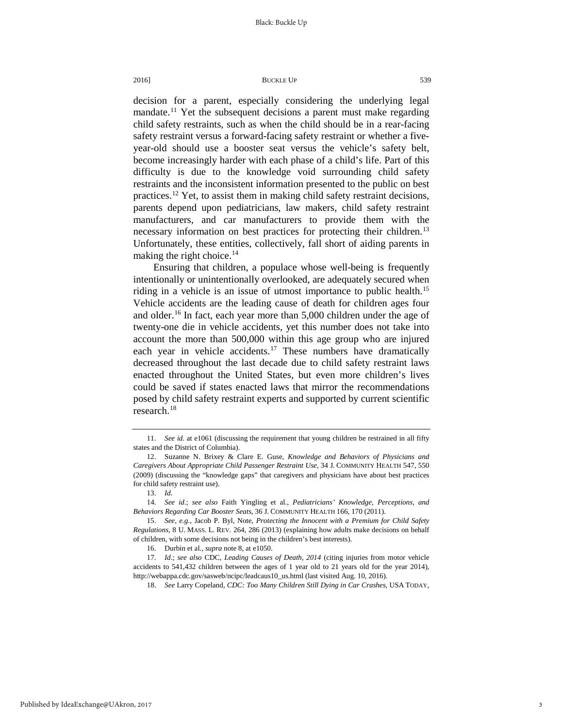decision for a parent, especially considering the underlying legal mandate.<sup>[11](#page-3-0)</sup> Yet the subsequent decisions a parent must make regarding child safety restraints, such as when the child should be in a rear-facing safety restraint versus a forward-facing safety restraint or whether a fiveyear-old should use a booster seat versus the vehicle's safety belt, become increasingly harder with each phase of a child's life. Part of this difficulty is due to the knowledge void surrounding child safety restraints and the inconsistent information presented to the public on best practices.<sup>[12](#page-3-1)</sup> Yet, to assist them in making child safety restraint decisions, parents depend upon pediatricians, law makers, child safety restraint manufacturers, and car manufacturers to provide them with the necessary information on best practices for protecting their children.<sup>[13](#page-3-2)</sup> Unfortunately, these entities, collectively, fall short of aiding parents in making the right choice.<sup>[14](#page-3-3)</sup>

Ensuring that children, a populace whose well-being is frequently intentionally or unintentionally overlooked, are adequately secured when riding in a vehicle is an issue of utmost importance to public health.<sup>[15](#page-3-4)</sup> Vehicle accidents are the leading cause of death for children ages four and older.[16](#page-3-5) In fact, each year more than 5,000 children under the age of twenty-one die in vehicle accidents, yet this number does not take into account the more than 500,000 within this age group who are injured each year in vehicle accidents.<sup>[17](#page-3-6)</sup> These numbers have dramatically decreased throughout the last decade due to child safety restraint laws enacted throughout the United States, but even more children's lives could be saved if states enacted laws that mirror the recommendations posed by child safety restraint experts and supported by current scientific research.[18](#page-3-7)

<span id="page-3-0"></span><sup>11.</sup> *See id.* at e1061 (discussing the requirement that young children be restrained in all fifty states and the District of Columbia).

<span id="page-3-1"></span><sup>12.</sup> Suzanne N. Brixey & Clare E. Guse, *Knowledge and Behaviors of Physicians and Caregivers About Appropriate Child Passenger Restraint Use*, 34 J. COMMUNITY HEALTH 547, 550 (2009) (discussing the "knowledge gaps" that caregivers and physicians have about best practices for child safety restraint use).

<sup>13.</sup> *Id.*

<span id="page-3-3"></span><span id="page-3-2"></span><sup>14.</sup> *See id.*; *see also* Faith Yingling et al., *Pediatricians' Knowledge, Perceptions, and Behaviors Regarding Car Booster Seats*, 36 J. COMMUNITY HEALTH 166, 170 (2011).

<span id="page-3-4"></span><sup>15.</sup> *See*, *e.g.*, Jacob P. Byl, Note, *Protecting the Innocent with a Premium for Child Safety Regulations*, 8 U. MASS. L. REV. 264, 286 (2013) (explaining how adults make decisions on behalf of children, with some decisions not being in the children's best interests).

<sup>16.</sup> Durbin et al., *supra* note 8, at e1050.

<span id="page-3-7"></span><span id="page-3-6"></span><span id="page-3-5"></span><sup>17.</sup> *Id*.; *see also* CDC, *Leading Causes of Death*, *2014* (citing injuries from motor vehicle accidents to 541,432 children between the ages of 1 year old to 21 years old for the year 2014), http://webappa.cdc.gov/sasweb/ncipc/leadcaus10\_us.html (last visited Aug. 10, 2016).

<sup>18.</sup> *See* Larry Copeland, *CDC: Too Many Children Still Dying in Car Crashes*, USA TODAY,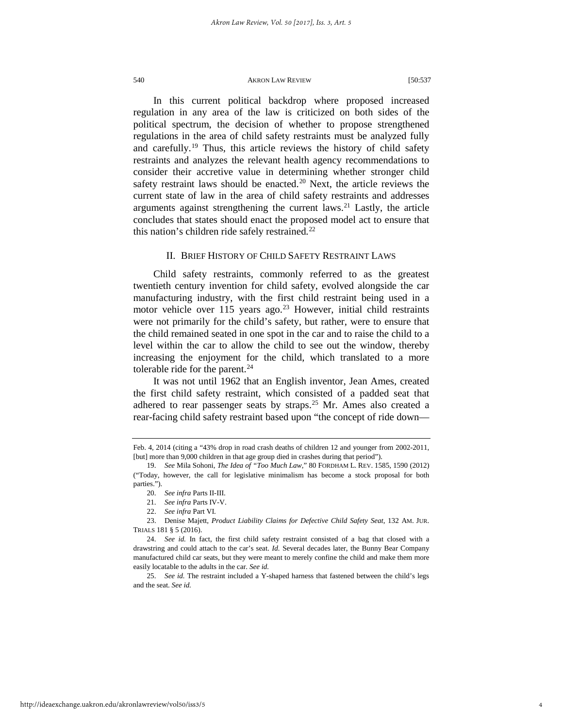In this current political backdrop where proposed increased regulation in any area of the law is criticized on both sides of the political spectrum, the decision of whether to propose strengthened regulations in the area of child safety restraints must be analyzed fully and carefully.[19](#page-4-0) Thus, this article reviews the history of child safety restraints and analyzes the relevant health agency recommendations to consider their accretive value in determining whether stronger child safety restraint laws should be enacted. $20$  Next, the article reviews the current state of law in the area of child safety restraints and addresses arguments against strengthening the current laws. $^{21}$  $^{21}$  $^{21}$  Lastly, the article concludes that states should enact the proposed model act to ensure that this nation's children ride safely restrained.<sup>[22](#page-4-3)</sup>

#### II. BRIEF HISTORY OF CHILD SAFETY RESTRAINT LAWS

Child safety restraints, commonly referred to as the greatest twentieth century invention for child safety, evolved alongside the car manufacturing industry, with the first child restraint being used in a motor vehicle over 115 years ago.<sup>[23](#page-4-4)</sup> However, initial child restraints were not primarily for the child's safety, but rather, were to ensure that the child remained seated in one spot in the car and to raise the child to a level within the car to allow the child to see out the window, thereby increasing the enjoyment for the child, which translated to a more tolerable ride for the parent. $^{24}$  $^{24}$  $^{24}$ 

It was not until 1962 that an English inventor, Jean Ames, created the first child safety restraint, which consisted of a padded seat that adhered to rear passenger seats by straps.<sup>25</sup> Mr. Ames also created a rear-facing child safety restraint based upon "the concept of ride down—

<span id="page-4-6"></span>25. *See id.* The restraint included a Y-shaped harness that fastened between the child's legs and the seat. *See id.*

Feb. 4, 2014 (citing a "43% drop in road crash deaths of children 12 and younger from 2002-2011, [but] more than 9,000 children in that age group died in crashes during that period").

<span id="page-4-1"></span><span id="page-4-0"></span><sup>19.</sup> *See* Mila Sohoni, *The Idea of "Too Much Law*," 80 FORDHAM L. REV. 1585, 1590 (2012) ("Today, however, the call for legislative minimalism has become a stock proposal for both parties.").

<sup>20.</sup> *See infra* Parts II-III.

<sup>21.</sup> *See infra* Parts IV-V.

<sup>22.</sup> *See infra* Part VI.

<span id="page-4-4"></span><span id="page-4-3"></span><span id="page-4-2"></span><sup>23.</sup> Denise Majett, *Product Liability Claims for Defective Child Safety Seat*, 132 AM. JUR. TRIALS 181 § 5 (2016).

<span id="page-4-5"></span><sup>24.</sup> *See id.* In fact, the first child safety restraint consisted of a bag that closed with a drawstring and could attach to the car's seat. *Id.* Several decades later, the Bunny Bear Company manufactured child car seats, but they were meant to merely confine the child and make them more easily locatable to the adults in the car. *See id.*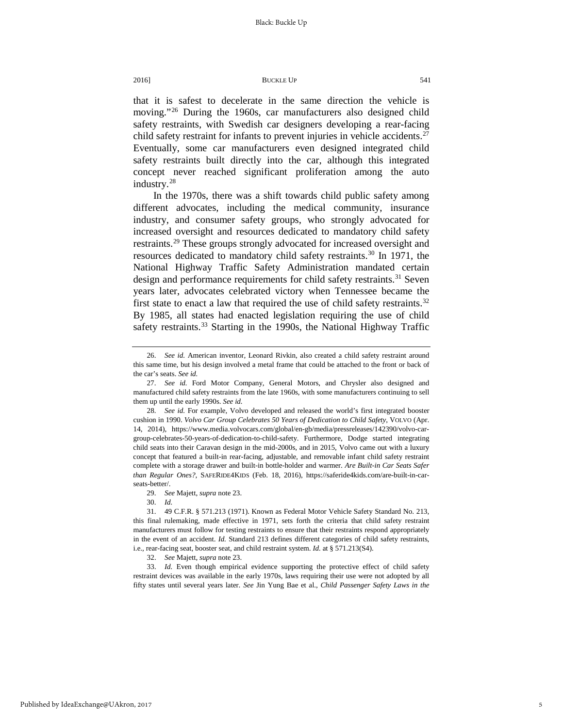that it is safest to decelerate in the same direction the vehicle is moving."<sup>[26](#page-5-0)</sup> During the 1960s, car manufacturers also designed child safety restraints, with Swedish car designers developing a rear-facing child safety restraint for infants to prevent injuries in vehicle accidents.<sup>[27](#page-5-1)</sup> Eventually, some car manufacturers even designed integrated child safety restraints built directly into the car, although this integrated concept never reached significant proliferation among the auto industry.[28](#page-5-2)

In the 1970s, there was a shift towards child public safety among different advocates, including the medical community, insurance industry, and consumer safety groups, who strongly advocated for increased oversight and resources dedicated to mandatory child safety restraints.[29](#page-5-3) These groups strongly advocated for increased oversight and resources dedicated to mandatory child safety restraints.<sup>30</sup> In 1971, the National Highway Traffic Safety Administration mandated certain design and performance requirements for child safety restraints.<sup>[31](#page-5-5)</sup> Seven years later, advocates celebrated victory when Tennessee became the first state to enact a law that required the use of child safety restraints.<sup>[32](#page-5-6)</sup> By 1985, all states had enacted legislation requiring the use of child safety restraints.<sup>[33](#page-5-7)</sup> Starting in the 1990s, the National Highway Traffic

30. *Id.*

32. *See* Majett, *supra* note 23.

<span id="page-5-7"></span><span id="page-5-6"></span>33. *Id.* Even though empirical evidence supporting the protective effect of child safety restraint devices was available in the early 1970s, laws requiring their use were not adopted by all fifty states until several years later. *See* Jin Yung Bae et al., *Child Passenger Safety Laws in the* 

<span id="page-5-0"></span><sup>26.</sup> *See id.* American inventor, Leonard Rivkin, also created a child safety restraint around this same time, but his design involved a metal frame that could be attached to the front or back of the car's seats. *See id.*

<span id="page-5-1"></span><sup>27.</sup> *See id.* Ford Motor Company, General Motors, and Chrysler also designed and manufactured child safety restraints from the late 1960s, with some manufacturers continuing to sell them up until the early 1990s. *See id.*

<span id="page-5-2"></span><sup>28.</sup> *See id.* For example, Volvo developed and released the world's first integrated booster cushion in 1990. *Volvo Car Group Celebrates 50 Years of Dedication to Child Safety*, VOLVO (Apr. 14, 2014), https://www.media.volvocars.com/global/en-gb/media/pressreleases/142390/volvo-cargroup-celebrates-50-years-of-dedication-to-child-safety. Furthermore, Dodge started integrating child seats into their Caravan design in the mid-2000s, and in 2015, Volvo came out with a luxury concept that featured a built-in rear-facing, adjustable, and removable infant child safety restraint complete with a storage drawer and built-in bottle-holder and warmer. *Are Built-in Car Seats Safer than Regular Ones?,* SAFERIDE4KIDS (Feb. 18, 2016), https://saferide4kids.com/are-built-in-carseats-better/.

<sup>29.</sup> *See* Majett, *supra* note 23.

<span id="page-5-5"></span><span id="page-5-4"></span><span id="page-5-3"></span><sup>31.</sup> 49 C.F.R. § 571.213 (1971). Known as Federal Motor Vehicle Safety Standard No. 213, this final rulemaking, made effective in 1971, sets forth the criteria that child safety restraint manufacturers must follow for testing restraints to ensure that their restraints respond appropriately in the event of an accident. *Id.* Standard 213 defines different categories of child safety restraints, i.e., rear-facing seat, booster seat, and child restraint system. *Id.* at § 571.213(S4).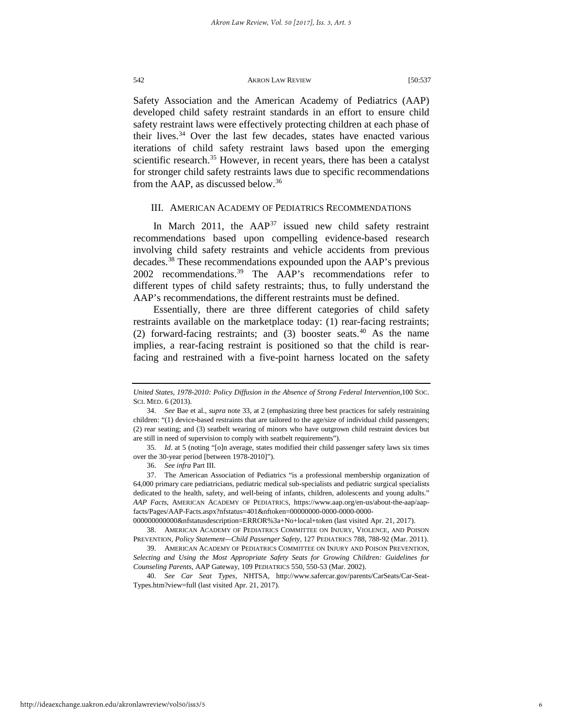Safety Association and the American Academy of Pediatrics (AAP) developed child safety restraint standards in an effort to ensure child safety restraint laws were effectively protecting children at each phase of their lives.<sup>[34](#page-6-0)</sup> Over the last few decades, states have enacted various iterations of child safety restraint laws based upon the emerging scientific research.<sup>[35](#page-6-1)</sup> However, in recent years, there has been a catalyst for stronger child safety restraints laws due to specific recommendations from the AAP, as discussed below.[36](#page-6-2)

#### III. AMERICAN ACADEMY OF PEDIATRICS RECOMMENDATIONS

In March 2011, the  $AAP^{37}$  $AAP^{37}$  $AAP^{37}$  issued new child safety restraint recommendations based upon compelling evidence-based research involving child safety restraints and vehicle accidents from previous decades.[38](#page-6-4) These recommendations expounded upon the AAP's previous 2002 recommendations.<sup>[39](#page-6-5)</sup> The AAP's recommendations refer to different types of child safety restraints; thus, to fully understand the AAP's recommendations, the different restraints must be defined.

Essentially, there are three different categories of child safety restraints available on the marketplace today: (1) rear-facing restraints; (2) forward-facing restraints; and (3) booster seats.<sup>[40](#page-6-6)</sup> As the name implies, a rear-facing restraint is positioned so that the child is rearfacing and restrained with a five-point harness located on the safety

*United States, 1978-2010: Policy Diffusion in the Absence of Strong Federal Intervention,*100 SOC. SCI. MED. 6 (2013).

<span id="page-6-0"></span><sup>34.</sup> *See* Bae et al., *supra* note 33, at 2 (emphasizing three best practices for safely restraining children: "(1) device-based restraints that are tailored to the age/size of individual child passengers; (2) rear seating; and (3) seatbelt wearing of minors who have outgrown child restraint devices but are still in need of supervision to comply with seatbelt requirements").

<span id="page-6-1"></span><sup>35.</sup> *Id*. at 5 (noting "[o]n average, states modified their child passenger safety laws six times over the 30-year period [between 1978-2010]").

<sup>36.</sup> *See infra* Part III.

<span id="page-6-3"></span><span id="page-6-2"></span><sup>37.</sup> The American Association of Pediatrics "is a professional membership organization of 64,000 primary care pediatricians, pediatric medical sub-specialists and pediatric surgical specialists dedicated to the health, safety, and well-being of infants, children, adolescents and young adults." *AAP Facts*, AMERICAN ACADEMY OF PEDIATRICS, https://www.aap.org/en-us/about-the-aap/aapfacts/Pages/AAP-Facts.aspx?nfstatus=401&nftoken=00000000-0000-0000-0000-

<sup>000000000000&</sup>amp;nfstatusdescription=ERROR%3a+No+local+token (last visited Apr. 21, 2017).

<span id="page-6-4"></span><sup>38.</sup> AMERICAN ACADEMY OF PEDIATRICS COMMITTEE ON INJURY, VIOLENCE, AND POISON PREVENTION, *Policy Statement—Child Passenger Safety*, 127 PEDIATRICS 788, 788-92 (Mar. 2011).

<span id="page-6-5"></span><sup>39.</sup> AMERICAN ACADEMY OF PEDIATRICS COMMITTEE ON INJURY AND POISON PREVENTION, *Selecting and Using the Most Appropriate Safety Seats for Growing Children: Guidelines for Counseling Parents*, AAP Gateway, 109 PEDIATRICS 550, 550-53 (Mar. 2002).

<span id="page-6-6"></span><sup>40.</sup> *See Car Seat Types*, NHTSA, http://www.safercar.gov/parents/CarSeats/Car-Seat-Types.htm?view=full (last visited Apr. 21, 2017).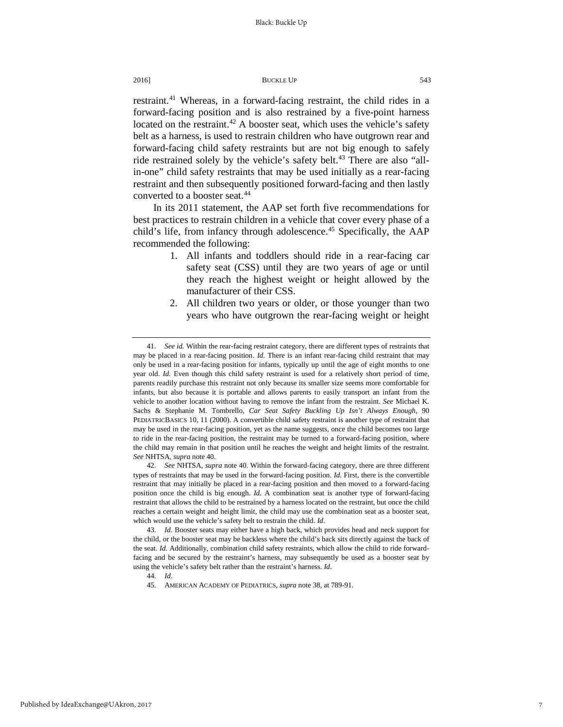restraint.<sup>[41](#page-7-0)</sup> Whereas, in a forward-facing restraint, the child rides in a forward-facing position and is also restrained by a five-point harness located on the restraint.<sup>[42](#page-7-1)</sup> A booster seat, which uses the vehicle's safety belt as a harness, is used to restrain children who have outgrown rear and forward-facing child safety restraints but are not big enough to safely ride restrained solely by the vehicle's safety belt.<sup>43</sup> There are also "allin-one" child safety restraints that may be used initially as a rear-facing restraint and then subsequently positioned forward-facing and then lastly converted to a booster seat.<sup>[44](#page-7-3)</sup>

In its 2011 statement, the AAP set forth five recommendations for best practices to restrain children in a vehicle that cover every phase of a child's life, from infancy through adolescence.<sup>[45](#page-7-4)</sup> Specifically, the AAP recommended the following:

- 1. All infants and toddlers should ride in a rear-facing car safety seat (CSS) until they are two years of age or until they reach the highest weight or height allowed by the manufacturer of their CSS.
- 2. All children two years or older, or those younger than two years who have outgrown the rear-facing weight or height

45. AMERICAN ACADEMY OF PEDIATRICS, *supra* note 38, at 789-91.

<span id="page-7-0"></span><sup>41.</sup> *See id.* Within the rear-facing restraint category, there are different types of restraints that may be placed in a rear-facing position. *Id.* There is an infant rear-facing child restraint that may only be used in a rear-facing position for infants, typically up until the age of eight months to one year old. *Id.* Even though this child safety restraint is used for a relatively short period of time, parents readily purchase this restraint not only because its smaller size seems more comfortable for infants, but also because it is portable and allows parents to easily transport an infant from the vehicle to another location without having to remove the infant from the restraint. *See* Michael K. Sachs & Stephanie M. Tombrello, *Car Seat Safety Buckling Up Isn't Always Enough*, 90 PEDIATRICBASICS 10, 11 (2000). A convertible child safety restraint is another type of restraint that may be used in the rear-facing position, yet as the name suggests, once the child becomes too large to ride in the rear-facing position, the restraint may be turned to a forward-facing position, where the child may remain in that position until he reaches the weight and height limits of the restraint. *See* NHTSA, *supra* note 40.

<span id="page-7-1"></span><sup>42.</sup> *See* NHTSA, *supra* note 40. Within the forward-facing category, there are three different types of restraints that may be used in the forward-facing position. *Id*. First, there is the convertible restraint that may initially be placed in a rear-facing position and then moved to a forward-facing position once the child is big enough. *Id*. A combination seat is another type of forward-facing restraint that allows the child to be restrained by a harness located on the restraint, but once the child reaches a certain weight and height limit, the child may use the combination seat as a booster seat, which would use the vehicle's safety belt to restrain the child. *Id*.

<span id="page-7-4"></span><span id="page-7-3"></span><span id="page-7-2"></span><sup>43.</sup> *Id*. Booster seats may either have a high back, which provides head and neck support for the child, or the booster seat may be backless where the child's back sits directly against the back of the seat. *Id*. Additionally, combination child safety restraints, which allow the child to ride forwardfacing and be secured by the restraint's harness, may subsequently be used as a booster seat by using the vehicle's safety belt rather than the restraint's harness. *Id*.

<sup>44.</sup> *Id*.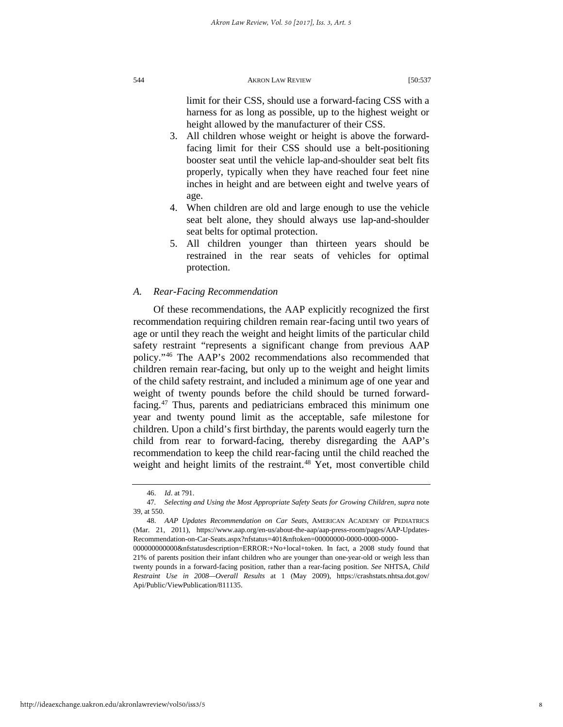limit for their CSS, should use a forward-facing CSS with a harness for as long as possible, up to the highest weight or height allowed by the manufacturer of their CSS.

- 3. All children whose weight or height is above the forwardfacing limit for their CSS should use a belt-positioning booster seat until the vehicle lap-and-shoulder seat belt fits properly, typically when they have reached four feet nine inches in height and are between eight and twelve years of age.
- 4. When children are old and large enough to use the vehicle seat belt alone, they should always use lap-and-shoulder seat belts for optimal protection.
- 5. All children younger than thirteen years should be restrained in the rear seats of vehicles for optimal protection.

#### *A. Rear-Facing Recommendation*

Of these recommendations, the AAP explicitly recognized the first recommendation requiring children remain rear-facing until two years of age or until they reach the weight and height limits of the particular child safety restraint "represents a significant change from previous AAP policy."[46](#page-8-0) The AAP's 2002 recommendations also recommended that children remain rear-facing, but only up to the weight and height limits of the child safety restraint, and included a minimum age of one year and weight of twenty pounds before the child should be turned forwardfacing.[47](#page-8-1) Thus, parents and pediatricians embraced this minimum one year and twenty pound limit as the acceptable, safe milestone for children. Upon a child's first birthday, the parents would eagerly turn the child from rear to forward-facing, thereby disregarding the AAP's recommendation to keep the child rear-facing until the child reached the weight and height limits of the restraint.<sup>[48](#page-8-2)</sup> Yet, most convertible child

<sup>46.</sup> *Id*. at 791.

<span id="page-8-1"></span><span id="page-8-0"></span><sup>47</sup>*. Selecting and Using the Most Appropriate Safety Seats for Growing Children*, *supra* note 39, at 550.

<span id="page-8-2"></span><sup>48.</sup> *AAP Updates Recommendation on Car Seats,* AMERICAN ACADEMY OF PEDIATRICS (Mar. 21, 2011), https://www.aap.org/en-us/about-the-aap/aap-press-room/pages/AAP-Updates-Recommendation-on-Car-Seats.aspx?nfstatus=401&nftoken=00000000-0000-0000-0000-

<sup>000000000000&</sup>amp;nfstatusdescription=ERROR:+No+local+token. In fact, a 2008 study found that 21% of parents position their infant children who are younger than one-year-old or weigh less than twenty pounds in a forward-facing position, rather than a rear-facing position. *See* NHTSA, *Child Restraint Use in 2008—Overall Results* at 1 (May 2009), https://crashstats.nhtsa.dot.gov/ Api/Public/ViewPublication/811135.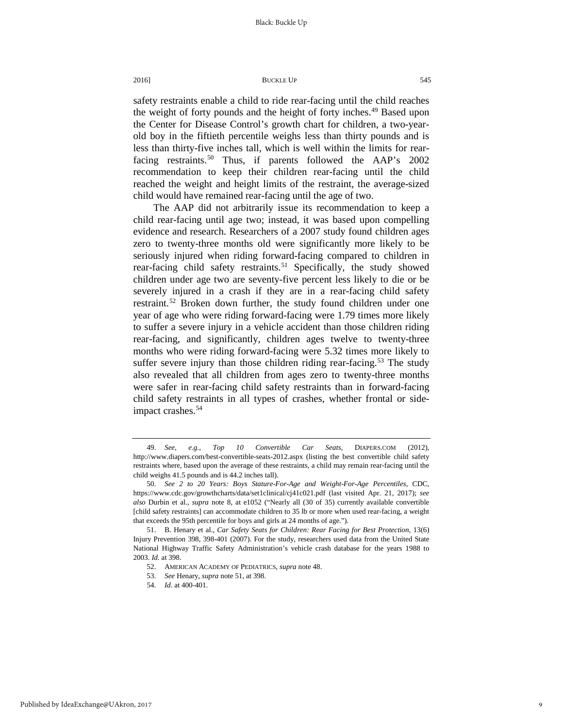safety restraints enable a child to ride rear-facing until the child reaches the weight of forty pounds and the height of forty inches.<sup>[49](#page-9-0)</sup> Based upon the Center for Disease Control's growth chart for children, a two-yearold boy in the fiftieth percentile weighs less than thirty pounds and is less than thirty-five inches tall, which is well within the limits for rear-facing restraints.<sup>[50](#page-9-1)</sup> Thus, if parents followed the AAP's 2002 recommendation to keep their children rear-facing until the child reached the weight and height limits of the restraint, the average-sized child would have remained rear-facing until the age of two.

The AAP did not arbitrarily issue its recommendation to keep a child rear-facing until age two; instead, it was based upon compelling evidence and research. Researchers of a 2007 study found children ages zero to twenty-three months old were significantly more likely to be seriously injured when riding forward-facing compared to children in rear-facing child safety restraints.<sup>[51](#page-9-2)</sup> Specifically, the study showed children under age two are seventy-five percent less likely to die or be severely injured in a crash if they are in a rear-facing child safety restraint.<sup>[52](#page-9-3)</sup> Broken down further, the study found children under one year of age who were riding forward-facing were 1.79 times more likely to suffer a severe injury in a vehicle accident than those children riding rear-facing, and significantly, children ages twelve to twenty-three months who were riding forward-facing were 5.32 times more likely to suffer severe injury than those children riding rear-facing.<sup>[53](#page-9-4)</sup> The study also revealed that all children from ages zero to twenty-three months were safer in rear-facing child safety restraints than in forward-facing child safety restraints in all types of crashes, whether frontal or side-impact crashes.<sup>[54](#page-9-5)</sup>

<span id="page-9-0"></span><sup>49.</sup> *See*, *e.g.*, *Top 10 Convertible Car Seats*, DIAPERS.COM (2012), http://www.diapers.com/best-convertible-seats-2012.aspx (listing the best convertible child safety restraints where, based upon the average of these restraints, a child may remain rear-facing until the child weighs 41.5 pounds and is 44.2 inches tall).

<span id="page-9-1"></span><sup>50.</sup> *See 2 to 20 Years: Boys Stature-For-Age and Weight-For-Age Percentiles*, CDC, https://www.cdc.gov/growthcharts/data/set1clinical/cj41c021.pdf (last visited Apr. 21, 2017); *see also* Durbin et al., *supra* note 8, at e1052 ("Nearly all (30 of 35) currently available convertible [child safety restraints] can accommodate children to 35 lb or more when used rear-facing, a weight that exceeds the 95th percentile for boys and girls at 24 months of age.").

<span id="page-9-5"></span><span id="page-9-4"></span><span id="page-9-3"></span><span id="page-9-2"></span><sup>51.</sup> B. Henary et al., *Car Safety Seats for Children: Rear Facing for Best Protection*, 13(6) Injury Prevention 398, 398-401 (2007). For the study, researchers used data from the United State National Highway Traffic Safety Administration's vehicle crash database for the years 1988 to 2003. *Id.* at 398.

<sup>52.</sup> AMERICAN ACADEMY OF PEDIATRICS, *supra* note 48.

<sup>53.</sup> *See* Henary, *supra* note 51, at 398.

<sup>54.</sup> *Id*. at 400-401.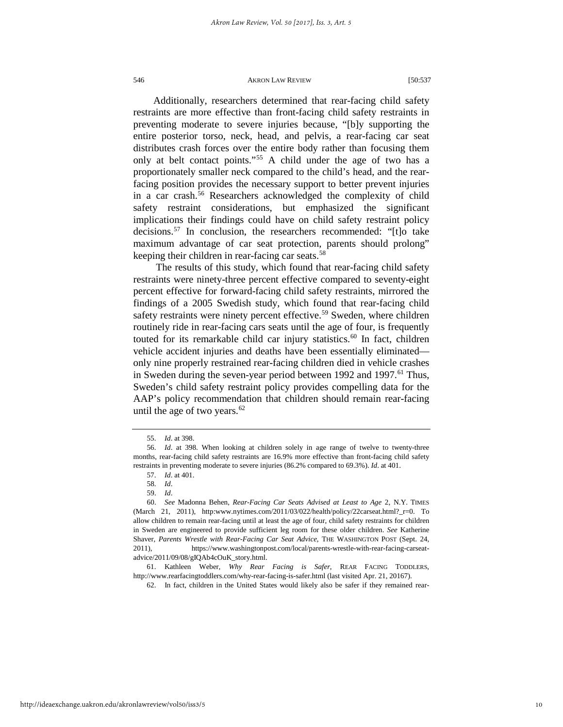Additionally, researchers determined that rear-facing child safety restraints are more effective than front-facing child safety restraints in preventing moderate to severe injuries because, "[b]y supporting the entire posterior torso, neck, head, and pelvis, a rear-facing car seat distributes crash forces over the entire body rather than focusing them only at belt contact points."[55](#page-10-0) A child under the age of two has a proportionately smaller neck compared to the child's head, and the rearfacing position provides the necessary support to better prevent injuries in a car crash.<sup>[56](#page-10-1)</sup> Researchers acknowledged the complexity of child safety restraint considerations, but emphasized the significant implications their findings could have on child safety restraint policy decisions.[57](#page-10-2) In conclusion, the researchers recommended: "[t]o take maximum advantage of car seat protection, parents should prolong" keeping their children in rear-facing car seats.<sup>58</sup>

The results of this study, which found that rear-facing child safety restraints were ninety-three percent effective compared to seventy-eight percent effective for forward-facing child safety restraints, mirrored the findings of a 2005 Swedish study, which found that rear-facing child safety restraints were ninety percent effective.<sup>[59](#page-10-4)</sup> Sweden, where children routinely ride in rear-facing cars seats until the age of four, is frequently touted for its remarkable child car injury statistics.<sup>[60](#page-10-5)</sup> In fact, children vehicle accident injuries and deaths have been essentially eliminated only nine properly restrained rear-facing children died in vehicle crashes in Sweden during the seven-year period between 1992 and 1997.<sup>61</sup> Thus, Sweden's child safety restraint policy provides compelling data for the AAP's policy recommendation that children should remain rear-facing until the age of two years. $62$ 

<sup>55.</sup> *Id*. at 398.

<span id="page-10-2"></span><span id="page-10-1"></span><span id="page-10-0"></span><sup>56.</sup> *Id*. at 398. When looking at children solely in age range of twelve to twenty-three months, rear-facing child safety restraints are 16.9% more effective than front-facing child safety restraints in preventing moderate to severe injuries (86.2% compared to 69.3%). *Id*. at 401.

<sup>57.</sup> *Id*. at 401.

<sup>58.</sup> *Id*.

<sup>59.</sup> *Id*.

<span id="page-10-5"></span><span id="page-10-4"></span><span id="page-10-3"></span><sup>60.</sup> *See* Madonna Behen, *Rear-Facing Car Seats Advised at Least to Age* 2, N.Y. TIMES (March 21, 2011), http:www.nytimes.com/2011/03/022/health/policy/22carseat.html?\_r=0. To allow children to remain rear-facing until at least the age of four, child safety restraints for children in Sweden are engineered to provide sufficient leg room for these older children. *See* Katherine Shaver, *Parents Wrestle with Rear-Facing Car Seat Advice*, THE WASHINGTON POST (Sept. 24, 2011), https://www.washingtonpost.com/local/parents-wrestle-with-rear-facing-carseatadvice/2011/09/08/gIQAb4cOuK\_story.html.

<span id="page-10-7"></span><span id="page-10-6"></span><sup>61.</sup> Kathleen Weber, *Why Rear Facing is Safer*, REAR FACING TODDLERS, http://www.rearfacingtoddlers.com/why-rear-facing-is-safer.html (last visited Apr. 21, 20167).

<sup>62.</sup> In fact, children in the United States would likely also be safer if they remained rear-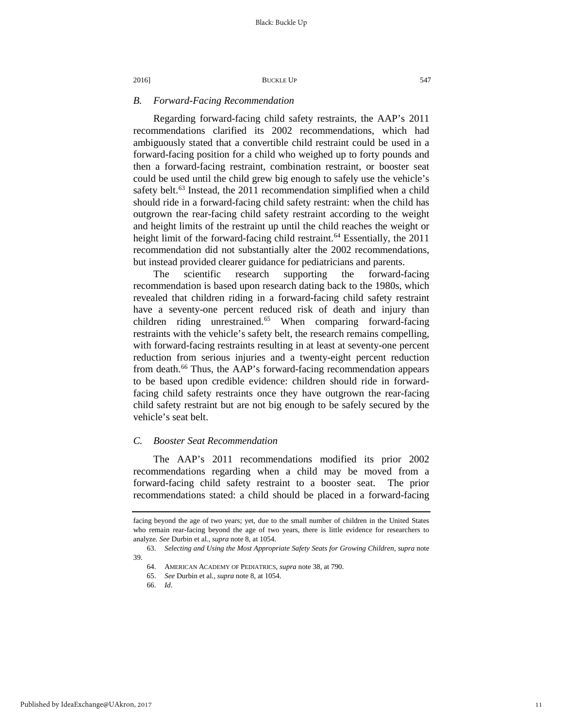### *B. Forward-Facing Recommendation*

Regarding forward-facing child safety restraints, the AAP's 2011 recommendations clarified its 2002 recommendations, which had ambiguously stated that a convertible child restraint could be used in a forward-facing position for a child who weighed up to forty pounds and then a forward-facing restraint, combination restraint, or booster seat could be used until the child grew big enough to safely use the vehicle's safety belt.<sup>[63](#page-11-0)</sup> Instead, the 2011 recommendation simplified when a child should ride in a forward-facing child safety restraint: when the child has outgrown the rear-facing child safety restraint according to the weight and height limits of the restraint up until the child reaches the weight or height limit of the forward-facing child restraint.<sup>[64](#page-11-1)</sup> Essentially, the 2011 recommendation did not substantially alter the 2002 recommendations, but instead provided clearer guidance for pediatricians and parents.

The scientific research supporting the forward-facing recommendation is based upon research dating back to the 1980s, which revealed that children riding in a forward-facing child safety restraint have a seventy-one percent reduced risk of death and injury than children riding unrestrained.<sup>[65](#page-11-2)</sup> When comparing forward-facing restraints with the vehicle's safety belt, the research remains compelling, with forward-facing restraints resulting in at least at seventy-one percent reduction from serious injuries and a twenty-eight percent reduction from death.<sup>[66](#page-11-3)</sup> Thus, the AAP's forward-facing recommendation appears to be based upon credible evidence: children should ride in forwardfacing child safety restraints once they have outgrown the rear-facing child safety restraint but are not big enough to be safely secured by the vehicle's seat belt.

### *C. Booster Seat Recommendation*

The AAP's 2011 recommendations modified its prior 2002 recommendations regarding when a child may be moved from a forward-facing child safety restraint to a booster seat. The prior recommendations stated: a child should be placed in a forward-facing

facing beyond the age of two years; yet, due to the small number of children in the United States who remain rear-facing beyond the age of two years, there is little evidence for researchers to analyze. *See* Durbin et al., *supra* note 8, at 1054.

<span id="page-11-3"></span><span id="page-11-2"></span><span id="page-11-1"></span><span id="page-11-0"></span><sup>63.</sup> *Selecting and Using the Most Appropriate Safety Seats for Growing Children*, *supra* note 39.

<sup>64.</sup> AMERICAN ACADEMY OF PEDIATRICS, *supra* note 38, at 790.

<sup>65.</sup> *See* Durbin et al., *supra* note 8, at 1054.

<sup>66.</sup> *Id*.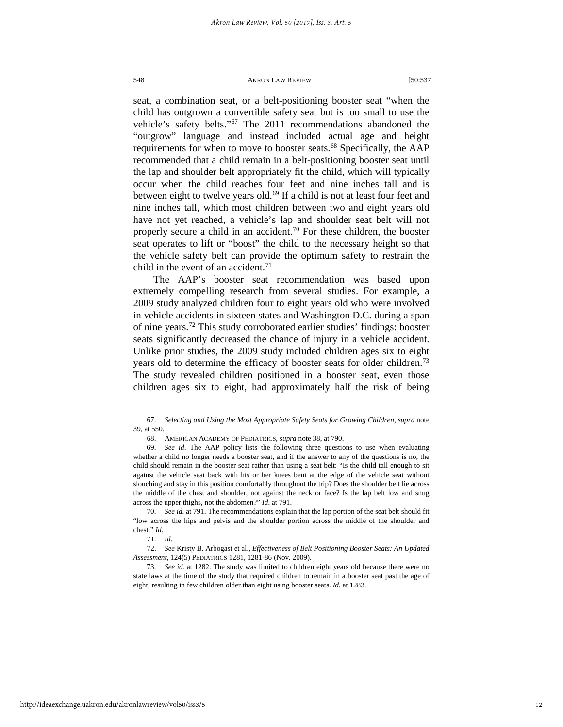seat, a combination seat, or a belt-positioning booster seat "when the child has outgrown a convertible safety seat but is too small to use the vehicle's safety belts."[67](#page-12-0) The 2011 recommendations abandoned the "outgrow" language and instead included actual age and height requirements for when to move to booster seats.<sup>[68](#page-12-1)</sup> Specifically, the AAP recommended that a child remain in a belt-positioning booster seat until the lap and shoulder belt appropriately fit the child, which will typically occur when the child reaches four feet and nine inches tall and is between eight to twelve years old.<sup>[69](#page-12-2)</sup> If a child is not at least four feet and nine inches tall, which most children between two and eight years old have not yet reached, a vehicle's lap and shoulder seat belt will not properly secure a child in an accident.<sup>[70](#page-12-3)</sup> For these children, the booster seat operates to lift or "boost" the child to the necessary height so that the vehicle safety belt can provide the optimum safety to restrain the child in the event of an accident.<sup>[71](#page-12-4)</sup>

The AAP's booster seat recommendation was based upon extremely compelling research from several studies. For example, a 2009 study analyzed children four to eight years old who were involved in vehicle accidents in sixteen states and Washington D.C. during a span of nine years.[72](#page-12-5) This study corroborated earlier studies' findings: booster seats significantly decreased the chance of injury in a vehicle accident. Unlike prior studies, the 2009 study included children ages six to eight years old to determine the efficacy of booster seats for older children.<sup>[73](#page-12-6)</sup> The study revealed children positioned in a booster seat, even those children ages six to eight, had approximately half the risk of being

<span id="page-12-0"></span><sup>67.</sup> *Selecting and Using the Most Appropriate Safety Seats for Growing Children*, *supra* note 39, at 550.

<sup>68.</sup> AMERICAN ACADEMY OF PEDIATRICS, *supra* note 38, at 790.

<span id="page-12-2"></span><span id="page-12-1"></span><sup>69.</sup> *See id*. The AAP policy lists the following three questions to use when evaluating whether a child no longer needs a booster seat, and if the answer to any of the questions is no, the child should remain in the booster seat rather than using a seat belt: "Is the child tall enough to sit against the vehicle seat back with his or her knees bent at the edge of the vehicle seat without slouching and stay in this position comfortably throughout the trip? Does the shoulder belt lie across the middle of the chest and shoulder, not against the neck or face? Is the lap belt low and snug across the upper thighs, not the abdomen?" *Id*. at 791.

<span id="page-12-3"></span><sup>70.</sup> *See id*. at 791. The recommendations explain that the lap portion of the seat belt should fit "low across the hips and pelvis and the shoulder portion across the middle of the shoulder and chest." *Id*.

<sup>71.</sup> *Id*.

<span id="page-12-5"></span><span id="page-12-4"></span><sup>72.</sup> *See* Kristy B. Arbogast et al., *Effectiveness of Belt Positioning Booster Seats: An Updated Assessment*, 124(5) PEDIATRICS 1281, 1281-86 (Nov. 2009).

<span id="page-12-6"></span><sup>73.</sup> *See id.* at 1282. The study was limited to children eight years old because there were no state laws at the time of the study that required children to remain in a booster seat past the age of eight, resulting in few children older than eight using booster seats. *Id.* at 1283.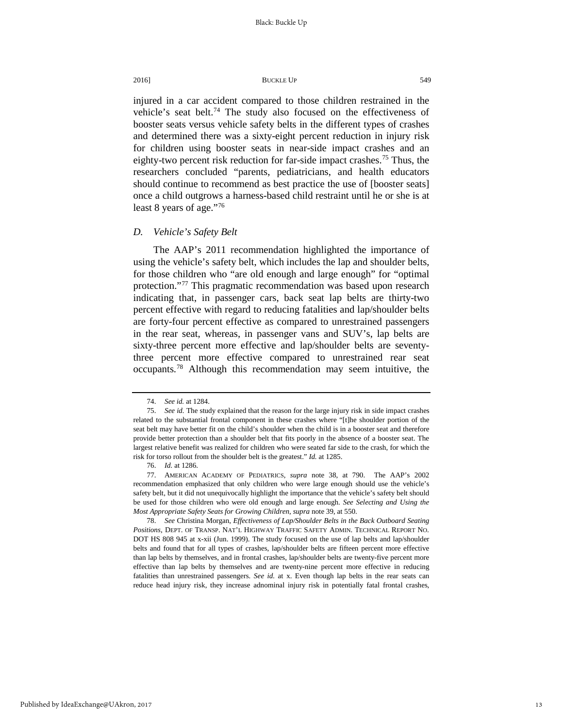injured in a car accident compared to those children restrained in the vehicle's seat belt.<sup>74</sup> The study also focused on the effectiveness of booster seats versus vehicle safety belts in the different types of crashes and determined there was a sixty-eight percent reduction in injury risk for children using booster seats in near-side impact crashes and an eighty-two percent risk reduction for far-side impact crashes.<sup>[75](#page-13-1)</sup> Thus, the researchers concluded "parents, pediatricians, and health educators should continue to recommend as best practice the use of [booster seats] once a child outgrows a harness-based child restraint until he or she is at least 8 years of age."[76](#page-13-2)

#### *D. Vehicle's Safety Belt*

The AAP's 2011 recommendation highlighted the importance of using the vehicle's safety belt, which includes the lap and shoulder belts, for those children who "are old enough and large enough" for "optimal protection."[77](#page-13-3) This pragmatic recommendation was based upon research indicating that, in passenger cars, back seat lap belts are thirty-two percent effective with regard to reducing fatalities and lap/shoulder belts are forty-four percent effective as compared to unrestrained passengers in the rear seat, whereas, in passenger vans and SUV's, lap belts are sixty-three percent more effective and lap/shoulder belts are seventythree percent more effective compared to unrestrained rear seat occupants.[78](#page-13-4) Although this recommendation may seem intuitive, the

<span id="page-13-4"></span>78. *See* Christina Morgan, *Effectiveness of Lap/Shoulder Belts in the Back Outboard Seating Positions*, DEPT. OF TRANSP. NAT'L HIGHWAY TRAFFIC SAFETY ADMIN. TECHNICAL REPORT NO. DOT HS 808 945 at x-xii (Jun. 1999). The study focused on the use of lap belts and lap/shoulder belts and found that for all types of crashes, lap/shoulder belts are fifteen percent more effective than lap belts by themselves, and in frontal crashes, lap/shoulder belts are twenty-five percent more effective than lap belts by themselves and are twenty-nine percent more effective in reducing fatalities than unrestrained passengers. *See id.* at x. Even though lap belts in the rear seats can reduce head injury risk, they increase adnominal injury risk in potentially fatal frontal crashes,

<sup>74.</sup> *See id.* at 1284.

<span id="page-13-1"></span><span id="page-13-0"></span><sup>75.</sup> *See id.* The study explained that the reason for the large injury risk in side impact crashes related to the substantial frontal component in these crashes where "[t]he shoulder portion of the seat belt may have better fit on the child's shoulder when the child is in a booster seat and therefore provide better protection than a shoulder belt that fits poorly in the absence of a booster seat. The largest relative benefit was realized for children who were seated far side to the crash, for which the risk for torso rollout from the shoulder belt is the greatest." *Id.* at 1285.

<sup>76.</sup> *Id.* at 1286.

<span id="page-13-3"></span><span id="page-13-2"></span><sup>77.</sup> AMERICAN ACADEMY OF PEDIATRICS, *supra* note 38, at 790. The AAP's 2002 recommendation emphasized that only children who were large enough should use the vehicle's safety belt, but it did not unequivocally highlight the importance that the vehicle's safety belt should be used for those children who were old enough and large enough. *See Selecting and Using the Most Appropriate Safety Seats for Growing Children*, *supra* note 39, at 550.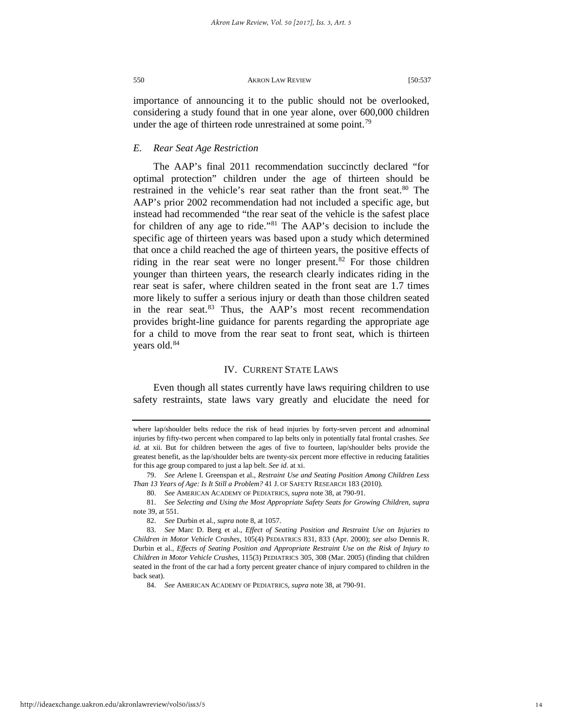importance of announcing it to the public should not be overlooked, considering a study found that in one year alone, over 600,000 children under the age of thirteen rode unrestrained at some point.<sup>[79](#page-14-0)</sup>

#### *E. Rear Seat Age Restriction*

The AAP's final 2011 recommendation succinctly declared "for optimal protection" children under the age of thirteen should be restrained in the vehicle's rear seat rather than the front seat.<sup>[80](#page-14-1)</sup> The AAP's prior 2002 recommendation had not included a specific age, but instead had recommended "the rear seat of the vehicle is the safest place for children of any age to ride."[81](#page-14-2) The AAP's decision to include the specific age of thirteen years was based upon a study which determined that once a child reached the age of thirteen years, the positive effects of riding in the rear seat were no longer present. $82$  For those children younger than thirteen years, the research clearly indicates riding in the rear seat is safer, where children seated in the front seat are 1.7 times more likely to suffer a serious injury or death than those children seated in the rear seat.<sup>[83](#page-14-4)</sup> Thus, the AAP's most recent recommendation provides bright-line guidance for parents regarding the appropriate age for a child to move from the rear seat to front seat, which is thirteen years old.<sup>[84](#page-14-5)</sup>

#### IV. CURRENT STATE LAWS

Even though all states currently have laws requiring children to use safety restraints, state laws vary greatly and elucidate the need for

where lap/shoulder belts reduce the risk of head injuries by forty-seven percent and adnominal injuries by fifty-two percent when compared to lap belts only in potentially fatal frontal crashes. *See id.* at xii. But for children between the ages of five to fourteen, lap/shoulder belts provide the greatest benefit, as the lap/shoulder belts are twenty-six percent more effective in reducing fatalities for this age group compared to just a lap belt. *See id.* at xi.

<span id="page-14-0"></span><sup>79.</sup> *See* Arlene I. Greenspan et al., *Restraint Use and Seating Position Among Children Less Than 13 Years of Age: Is It Still a Problem?* 41 J. OF SAFETY RESEARCH 183 (2010).

<sup>80.</sup> *See* AMERICAN ACADEMY OF PEDIATRICS, *supra* note 38, at 790-91.

<span id="page-14-2"></span><span id="page-14-1"></span><sup>81.</sup> *See Selecting and Using the Most Appropriate Safety Seats for Growing Children*, *supra*  note 39, at 551.

<sup>82.</sup> *See* Durbin et al., *supra* note 8, at 1057.

<span id="page-14-5"></span><span id="page-14-4"></span><span id="page-14-3"></span><sup>83.</sup> *See* Marc D. Berg et al., *Effect of Seating Position and Restraint Use on Injuries to Children in Motor Vehicle Crashes*, 105(4) PEDIATRICS 831, 833 (Apr. 2000); *see also* Dennis R. Durbin et al., *Effects of Seating Position and Appropriate Restraint Use on the Risk of Injury to Children in Motor Vehicle Crashes*, 115(3) PEDIATRICS 305, 308 (Mar. 2005) (finding that children seated in the front of the car had a forty percent greater chance of injury compared to children in the back seat).

<sup>84.</sup> *See* AMERICAN ACADEMY OF PEDIATRICS, *supra* note 38, at 790-91.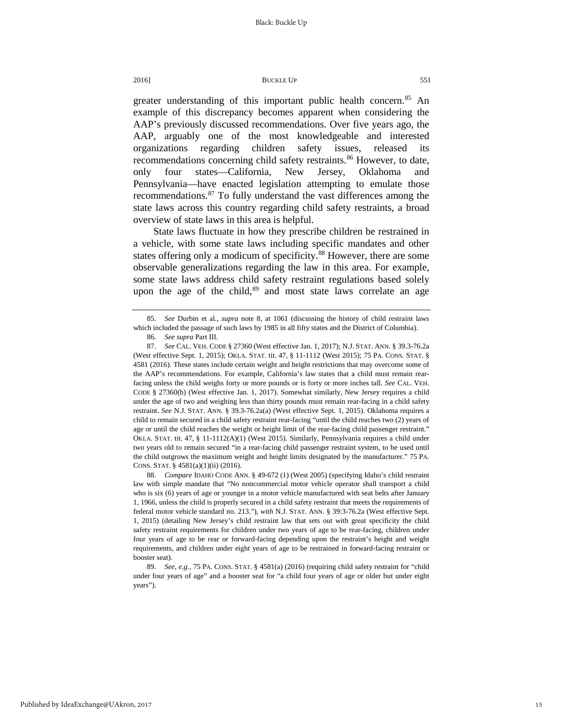greater understanding of this important public health concern.<sup>[85](#page-15-0)</sup> An example of this discrepancy becomes apparent when considering the AAP's previously discussed recommendations. Over five years ago, the AAP, arguably one of the most knowledgeable and interested organizations regarding children safety issues, released its recommendations concerning child safety restraints.<sup>[86](#page-15-1)</sup> However, to date, only four states—California, New Jersey, Oklahoma and Pennsylvania—have enacted legislation attempting to emulate those recommendations[.87](#page-15-2) To fully understand the vast differences among the state laws across this country regarding child safety restraints, a broad overview of state laws in this area is helpful.

State laws fluctuate in how they prescribe children be restrained in a vehicle, with some state laws including specific mandates and other states offering only a modicum of specificity.<sup>[88](#page-15-3)</sup> However, there are some observable generalizations regarding the law in this area. For example, some state laws address child safety restraint regulations based solely upon the age of the child, $89$  and most state laws correlate an age

<span id="page-15-0"></span><sup>85.</sup> *See* Durbin et al., *supra* note 8, at 1061 (discussing the history of child restraint laws which included the passage of such laws by 1985 in all fifty states and the District of Columbia).

<sup>86.</sup> *See supra* Part III.

<span id="page-15-2"></span><span id="page-15-1"></span><sup>87.</sup> *See* CAL. VEH. CODE § 27360 (West effective Jan. 1, 2017); N.J. STAT. ANN. § 39.3-76.2a (West effective Sept. 1, 2015); OKLA. STAT. tit. 47, § 11-1112 (West 2015); 75 PA. CONS. STAT. § 4581 (2016). These states include certain weight and height restrictions that may overcome some of the AAP's recommendations. For example, California's law states that a child must remain rearfacing unless the child weighs forty or more pounds or is forty or more inches tall. *See* CAL. VEH. CODE § 27360(b) (West effective Jan. 1, 2017). Somewhat similarly, New Jersey requires a child under the age of two and weighing less than thirty pounds must remain rear-facing in a child safety restraint. *See* N.J. STAT. ANN. § 39.3-76.2a(a) (West effective Sept. 1, 2015). Oklahoma requires a child to remain secured in a child safety restraint rear-facing "until the child reaches two (2) years of age or until the child reaches the weight or height limit of the rear-facing child passenger restraint." OKLA. STAT. tit. 47, § 11-1112(A)(1) (West 2015). Similarly, Pennsylvania requires a child under two years old to remain secured "in a rear-facing child passenger restraint system, to be used until the child outgrows the maximum weight and height limits designated by the manufacturer." 75 PA. CONS. STAT. § 4581(a)(1)(ii) (2016).

<span id="page-15-3"></span><sup>88.</sup> *Compare* IDAHO CODE ANN. § 49-672 (1) (West 2005) (specifying Idaho's child restraint law with simple mandate that "No noncommercial motor vehicle operator shall transport a child who is six (6) years of age or younger in a motor vehicle manufactured with seat belts after January 1, 1966, unless the child is properly secured in a child safety restraint that meets the requirements of federal motor vehicle standard no. 213."), *with* N.J. STAT. ANN. § 39:3-76.2a (West effective Sept. 1, 2015) (detailing New Jersey's child restraint law that sets out with great specificity the child safety restraint requirements for children under two years of age to be rear-facing, children under four years of age to be rear or forward-facing depending upon the restraint's height and weight requirements, and children under eight years of age to be restrained in forward-facing restraint or booster seat).

<span id="page-15-4"></span><sup>89.</sup> *See, e.g.*, 75 PA. CONS. STAT. § 4581(a) (2016) (requiring child safety restraint for "child under four years of age" and a booster seat for "a child four years of age or older but under eight years").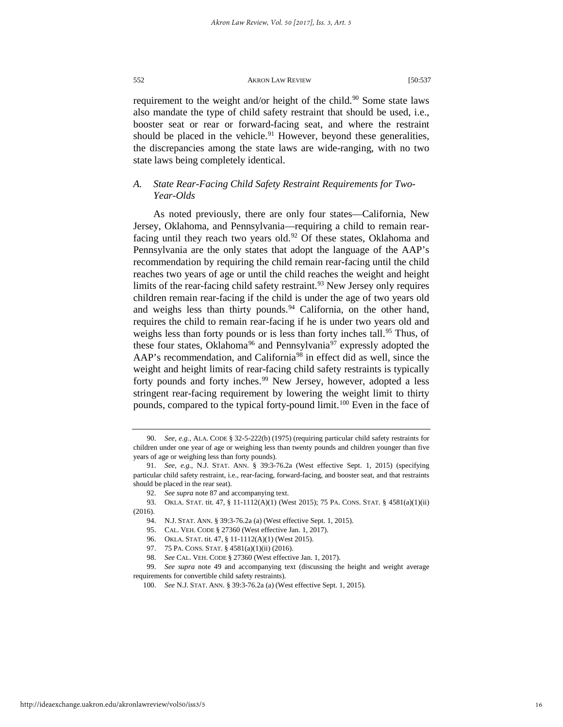requirement to the weight and/or height of the child.<sup>[90](#page-16-0)</sup> Some state laws also mandate the type of child safety restraint that should be used, i.e., booster seat or rear or forward-facing seat, and where the restraint should be placed in the vehicle.<sup>91</sup> However, beyond these generalities, the discrepancies among the state laws are wide-ranging, with no two state laws being completely identical.

#### *A. State Rear-Facing Child Safety Restraint Requirements for Two-Year-Olds*

As noted previously, there are only four states—California, New Jersey, Oklahoma, and Pennsylvania—requiring a child to remain rear-facing until they reach two years old.<sup>[92](#page-16-2)</sup> Of these states, Oklahoma and Pennsylvania are the only states that adopt the language of the AAP's recommendation by requiring the child remain rear-facing until the child reaches two years of age or until the child reaches the weight and height limits of the rear-facing child safety restraint.<sup>93</sup> New Jersey only requires children remain rear-facing if the child is under the age of two years old and weighs less than thirty pounds.<sup>[94](#page-16-4)</sup> California, on the other hand, requires the child to remain rear-facing if he is under two years old and weighs less than forty pounds or is less than forty inches tall.<sup>[95](#page-16-5)</sup> Thus, of these four states, Oklahoma<sup>[96](#page-16-6)</sup> and Pennsylvania<sup>97</sup> expressly adopted the AAP's recommendation, and California<sup>98</sup> in effect did as well, since the weight and height limits of rear-facing child safety restraints is typically forty pounds and forty inches.<sup>[99](#page-16-9)</sup> New Jersey, however, adopted a less stringent rear-facing requirement by lowering the weight limit to thirty pounds, compared to the typical forty-pound limit.<sup>100</sup> Even in the face of

<span id="page-16-10"></span><span id="page-16-9"></span>

<span id="page-16-0"></span><sup>90.</sup> *See, e.g.*, ALA. CODE § 32-5-222(b) (1975) (requiring particular child safety restraints for children under one year of age or weighing less than twenty pounds and children younger than five years of age or weighing less than forty pounds).

<span id="page-16-1"></span><sup>91.</sup> *See*, *e.g.*, N.J. STAT. ANN. § 39:3-76.2a (West effective Sept. 1, 2015) (specifying particular child safety restraint, i.e., rear-facing, forward-facing, and booster seat, and that restraints should be placed in the rear seat).

<sup>92.</sup> *See supra* note 87 and accompanying text.

<span id="page-16-5"></span><span id="page-16-4"></span><span id="page-16-3"></span><span id="page-16-2"></span><sup>93.</sup> OKLA. STAT. tit. 47, § 11-1112(A)(1) (West 2015); 75 PA. CONS. STAT. § 4581(a)(1)(ii) (2016).

<sup>94.</sup> N.J. STAT. ANN. § 39:3-76.2a (a) (West effective Sept. 1, 2015).

<sup>95.</sup> CAL. VEH. CODE § 27360 (West effective Jan. 1, 2017).

<sup>96.</sup> OKLA. STAT. tit. 47, § 11-1112(A)(1) (West 2015).

<sup>97.</sup> 75 PA. CONS. STAT. § 4581(a)(1)(ii) (2016).

<sup>98.</sup> *See* CAL. VEH. CODE § 27360 (West effective Jan. 1, 2017).

<span id="page-16-8"></span><span id="page-16-7"></span><span id="page-16-6"></span><sup>99.</sup> *See supra* note 49 and accompanying text (discussing the height and weight average requirements for convertible child safety restraints).

<sup>100.</sup> *See* N.J. STAT. ANN. § 39:3-76.2a (a) (West effective Sept. 1, 2015).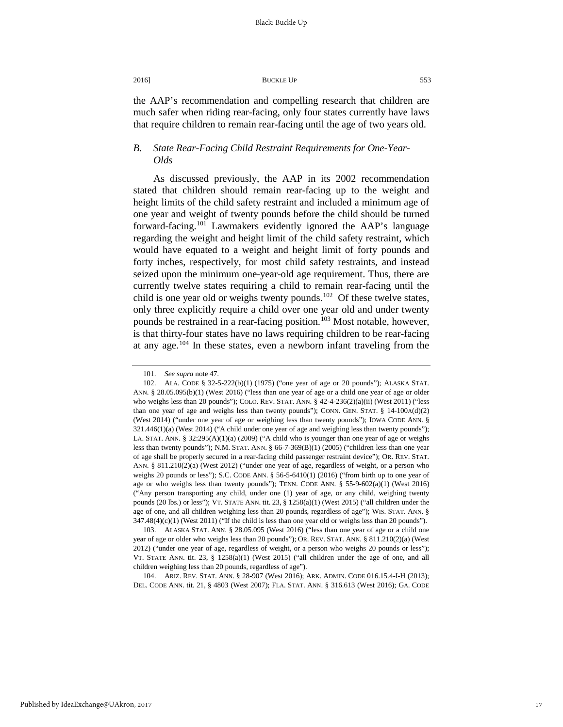the AAP's recommendation and compelling research that children are much safer when riding rear-facing, only four states currently have laws that require children to remain rear-facing until the age of two years old.

#### *B. State Rear-Facing Child Restraint Requirements for One-Year-Olds*

As discussed previously, the AAP in its 2002 recommendation stated that children should remain rear-facing up to the weight and height limits of the child safety restraint and included a minimum age of one year and weight of twenty pounds before the child should be turned forward-facing.<sup>[101](#page-17-0)</sup> Lawmakers evidently ignored the AAP's language regarding the weight and height limit of the child safety restraint, which would have equated to a weight and height limit of forty pounds and forty inches, respectively, for most child safety restraints, and instead seized upon the minimum one-year-old age requirement. Thus, there are currently twelve states requiring a child to remain rear-facing until the child is one year old or weighs twenty pounds.<sup>102</sup> Of these twelve states, only three explicitly require a child over one year old and under twenty pounds be restrained in a rear-facing position.<sup>[103](#page-17-2)</sup> Most notable, however, is that thirty-four states have no laws requiring children to be rear-facing at any age.[104](#page-17-3) In these states, even a newborn infant traveling from the

<span id="page-17-3"></span>104. ARIZ. REV. STAT. ANN. § 28-907 (West 2016); ARK. ADMIN. CODE 016.15.4-I-H (2013); DEL. CODE ANN. tit. 21, § 4803 (West 2007); FLA. STAT. ANN. § 316.613 (West 2016); GA. CODE

<sup>101.</sup> *See supra* note 47.

<span id="page-17-1"></span><span id="page-17-0"></span><sup>102.</sup> ALA. CODE § 32-5-222(b)(1) (1975) ("one year of age or 20 pounds"); ALASKA STAT. ANN. § 28.05.095(b)(1) (West 2016) ("less than one year of age or a child one year of age or older who weighs less than 20 pounds"); COLO. REV. STAT. ANN.  $\S$  42-4-236(2)(a)(ii) (West 2011) ("less than one year of age and weighs less than twenty pounds"); CONN. GEN. STAT.  $\S$  14-100A(d)(2) (West 2014) ("under one year of age or weighing less than twenty pounds"); IOWA CODE ANN. § 321.446(1)(a) (West 2014) ("A child under one year of age and weighing less than twenty pounds"); LA. STAT. ANN. § 32:295(A)(1)(a) (2009) ("A child who is younger than one year of age or weighs less than twenty pounds"); N.M. STAT. ANN. § 66-7-369(B)(1) (2005) ("children less than one year of age shall be properly secured in a rear-facing child passenger restraint device"); OR. REV. STAT. ANN. § 811.210(2)(a) (West 2012) ("under one year of age, regardless of weight, or a person who weighs 20 pounds or less"); S.C. CODE ANN. § 56-5-6410(1) (2016) ("from birth up to one year of age or who weighs less than twenty pounds"); TENN. CODE ANN. § 55-9-602(a)(1) (West 2016) ("Any person transporting any child, under one (1) year of age, or any child, weighing twenty pounds (20 lbs.) or less"); VT. STATE ANN. tit. 23, § 1258(a)(1) (West 2015) ("all children under the age of one, and all children weighing less than 20 pounds, regardless of age"); WIS. STAT. ANN. § 347.48(4)(c)(1) (West 2011) ("If the child is less than one year old or weighs less than 20 pounds").

<span id="page-17-2"></span><sup>103.</sup> ALASKA STAT. ANN. § 28.05.095 (West 2016) ("less than one year of age or a child one year of age or older who weighs less than 20 pounds"); OR. REV. STAT. ANN. § 811.210(2)(a) (West 2012) ("under one year of age, regardless of weight, or a person who weighs 20 pounds or less"); VT. STATE ANN. tit. 23,  $\S$  1258(a)(1) (West 2015) ("all children under the age of one, and all children weighing less than 20 pounds, regardless of age").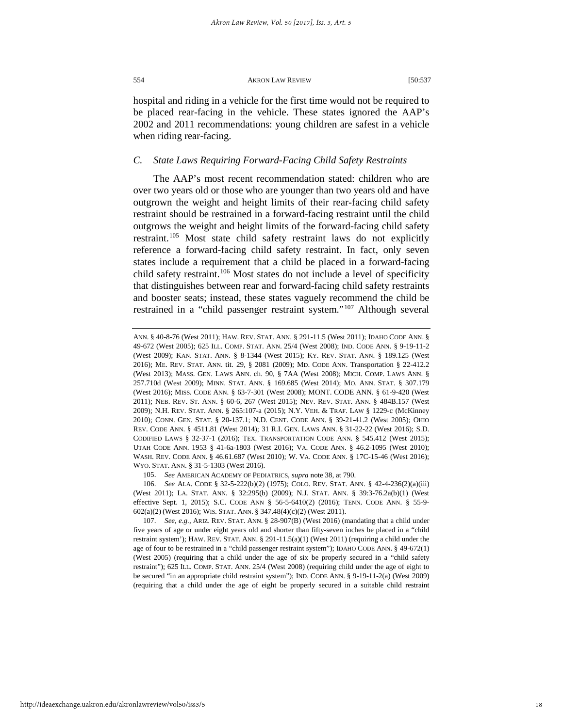hospital and riding in a vehicle for the first time would not be required to be placed rear-facing in the vehicle. These states ignored the AAP's 2002 and 2011 recommendations: young children are safest in a vehicle when riding rear-facing.

#### *C. State Laws Requiring Forward-Facing Child Safety Restraints*

The AAP's most recent recommendation stated: children who are over two years old or those who are younger than two years old and have outgrown the weight and height limits of their rear-facing child safety restraint should be restrained in a forward-facing restraint until the child outgrows the weight and height limits of the forward-facing child safety restraint.[105](#page-18-0) Most state child safety restraint laws do not explicitly reference a forward-facing child safety restraint. In fact, only seven states include a requirement that a child be placed in a forward-facing child safety restraint.<sup>[106](#page-18-1)</sup> Most states do not include a level of specificity that distinguishes between rear and forward-facing child safety restraints and booster seats; instead, these states vaguely recommend the child be restrained in a "child passenger restraint system."[107](#page-18-2) Although several

105. *See* AMERICAN ACADEMY OF PEDIATRICS, *supra* note 38, at 790.

<span id="page-18-2"></span>107. *See*, *e.g.*, ARIZ. REV. STAT. ANN. § 28-907(B) (West 2016) (mandating that a child under five years of age or under eight years old and shorter than fifty-seven inches be placed in a "child restraint system'); HAW. REV. STAT. ANN. § 291-11.5(a)(1) (West 2011) (requiring a child under the age of four to be restrained in a "child passenger restraint system"); IDAHO CODE ANN. § 49-672(1) (West 2005) (requiring that a child under the age of six be properly secured in a "child safety restraint"); 625 ILL. COMP. STAT. ANN. 25/4 (West 2008) (requiring child under the age of eight to be secured "in an appropriate child restraint system"); IND. CODE ANN. § 9-19-11-2(a) (West 2009) (requiring that a child under the age of eight be properly secured in a suitable child restraint

ANN. § 40-8-76 (West 2011); HAW. REV. STAT. ANN. § 291-11.5 (West 2011); IDAHO CODE ANN. § 49-672 (West 2005); 625 ILL. COMP. STAT. ANN. 25/4 (West 2008); IND. CODE ANN. § 9-19-11-2 (West 2009); KAN. STAT. ANN. § 8-1344 (West 2015); KY. REV. STAT. ANN. § 189.125 (West 2016); ME. REV. STAT. ANN. tit. 29, § 2081 (2009); MD. CODE ANN. Transportation § 22-412.2 (West 2013); MASS. GEN. LAWS ANN. ch. 90, § 7AA (West 2008); MICH. COMP. LAWS ANN. § 257.710d (West 2009); MINN. STAT. ANN. § 169.685 (West 2014); MO. ANN. STAT. § 307.179 (West 2016); MISS. CODE ANN. § 63-7-301 (West 2008); MONT. CODE ANN. § 61-9-420 (West 2011); NEB. REV. ST. ANN. § 60-6, 267 (West 2015); NEV. REV. STAT. ANN. § 484B.157 (West 2009); N.H. REV. STAT. ANN. § 265:107-a (2015); N.Y. VEH. & TRAF. LAW § 1229-c (McKinney 2010); CONN. GEN. STAT. § 20-137.1; N.D. CENT. CODE ANN. § 39-21-41.2 (West 2005); OHIO REV. CODE ANN. § 4511.81 (West 2014); 31 R.I. GEN. LAWS ANN. § 31-22-22 (West 2016); S.D. CODIFIED LAWS § 32-37-1 (2016); TEX. TRANSPORTATION CODE ANN. § 545.412 (West 2015); UTAH CODE ANN. 1953 § 41-6a-1803 (West 2016); VA. CODE ANN. § 46.2-1095 (West 2010); WASH. REV. CODE ANN. § 46.61.687 (West 2010); W. VA. CODE ANN. § 17C-15-46 (West 2016); WYO. STAT. ANN. § 31-5-1303 (West 2016).

<span id="page-18-1"></span><span id="page-18-0"></span><sup>106.</sup> *See* ALA. CODE § 32-5-222(b)(2) (1975); COLO. REV. STAT. ANN. § 42-4-236(2)(a)(iii) (West 2011); LA. STAT. ANN. § 32:295(b) (2009); N.J. STAT. ANN. § 39:3-76.2a(b)(1) (West effective Sept. 1, 2015); S.C. CODE ANN § 56-5-6410(2) (2016); TENN. CODE ANN. § 55-9- 602(a)(2) (West 2016); WIS. STAT. ANN. § 347.48(4)(c)(2) (West 2011).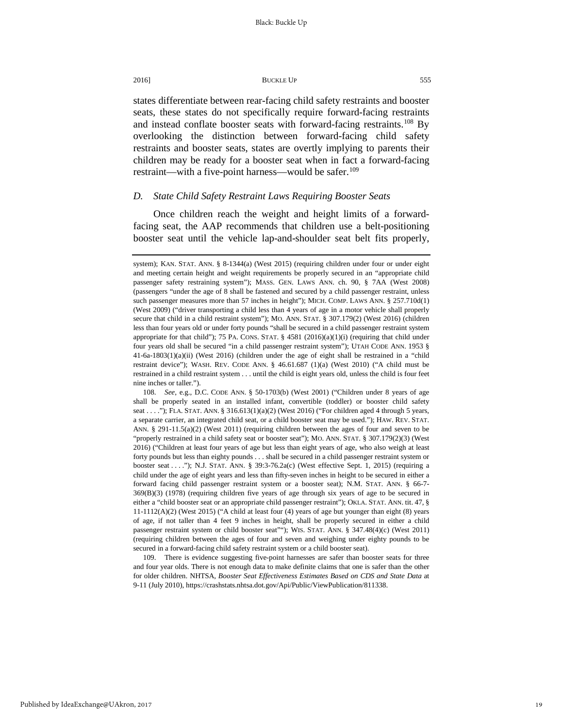states differentiate between rear-facing child safety restraints and booster seats, these states do not specifically require forward-facing restraints and instead conflate booster seats with forward-facing restraints.<sup>108</sup> By

overlooking the distinction between forward-facing child safety restraints and booster seats, states are overtly implying to parents their children may be ready for a booster seat when in fact a forward-facing restraint—with a five-point harness—would be safer.<sup>[109](#page-19-1)</sup>

#### *D. State Child Safety Restraint Laws Requiring Booster Seats*

Once children reach the weight and height limits of a forwardfacing seat, the AAP recommends that children use a belt-positioning booster seat until the vehicle lap-and-shoulder seat belt fits properly,

<span id="page-19-0"></span>108. *See*, e.g., D.C. CODE ANN. § 50-1703(b) (West 2001) ("Children under 8 years of age shall be properly seated in an installed infant, convertible (toddler) or booster child safety seat . . . ."); FLA. STAT. ANN. § 316.613(1)(a)(2) (West 2016) ("For children aged 4 through 5 years, a separate carrier, an integrated child seat, or a child booster seat may be used."); HAW. REV. STAT. ANN. § 291-11.5(a)(2) (West 2011) (requiring children between the ages of four and seven to be "properly restrained in a child safety seat or booster seat"); MO. ANN. STAT. § 307.179(2)(3) (West 2016) ("Children at least four years of age but less than eight years of age, who also weigh at least forty pounds but less than eighty pounds . . . shall be secured in a child passenger restraint system or booster seat . . . ."); N.J. STAT. ANN. § 39:3-76.2a(c) (West effective Sept. 1, 2015) (requiring a child under the age of eight years and less than fifty-seven inches in height to be secured in either a forward facing child passenger restraint system or a booster seat); N.M. STAT. ANN. § 66-7- 369(B)(3) (1978) (requiring children five years of age through six years of age to be secured in either a "child booster seat or an appropriate child passenger restraint"); OKLA. STAT. ANN. tit. 47, § 11-1112(A)(2) (West 2015) ("A child at least four (4) years of age but younger than eight (8) years of age, if not taller than 4 feet 9 inches in height, shall be properly secured in either a child passenger restraint system or child booster seat""); WIS. STAT. ANN. § 347.48(4)(c) (West 2011) (requiring children between the ages of four and seven and weighing under eighty pounds to be secured in a forward-facing child safety restraint system or a child booster seat).

<span id="page-19-1"></span>109. There is evidence suggesting five-point harnesses are safer than booster seats for three and four year olds. There is not enough data to make definite claims that one is safer than the other for older children. NHTSA, *Booster Seat Effectiveness Estimates Based on CDS and State Data* at 9-11 (July 2010), https://crashstats.nhtsa.dot.gov/Api/Public/ViewPublication/811338.

system); KAN. STAT. ANN. § 8-1344(a) (West 2015) (requiring children under four or under eight and meeting certain height and weight requirements be properly secured in an "appropriate child passenger safety restraining system"); MASS. GEN. LAWS ANN. ch. 90, § 7AA (West 2008) (passengers "under the age of 8 shall be fastened and secured by a child passenger restraint, unless such passenger measures more than 57 inches in height"); MICH. COMP. LAWS ANN. § 257.710d(1) (West 2009) ("driver transporting a child less than 4 years of age in a motor vehicle shall properly secure that child in a child restraint system"); MO. ANN. STAT. § 307.179(2) (West 2016) (children less than four years old or under forty pounds "shall be secured in a child passenger restraint system appropriate for that child"); 75 PA. CONS. STAT.  $\S$  4581 (2016)(a)(1)(i) (requiring that child under four years old shall be secured "in a child passenger restraint system"); UTAH CODE ANN. 1953 § 41-6a-1803(1)(a)(ii) (West 2016) (children under the age of eight shall be restrained in a "child restraint device"); WASH. REV. CODE ANN. § 46.61.687 (1)(a) (West 2010) ("A child must be restrained in a child restraint system . . . until the child is eight years old, unless the child is four feet nine inches or taller.").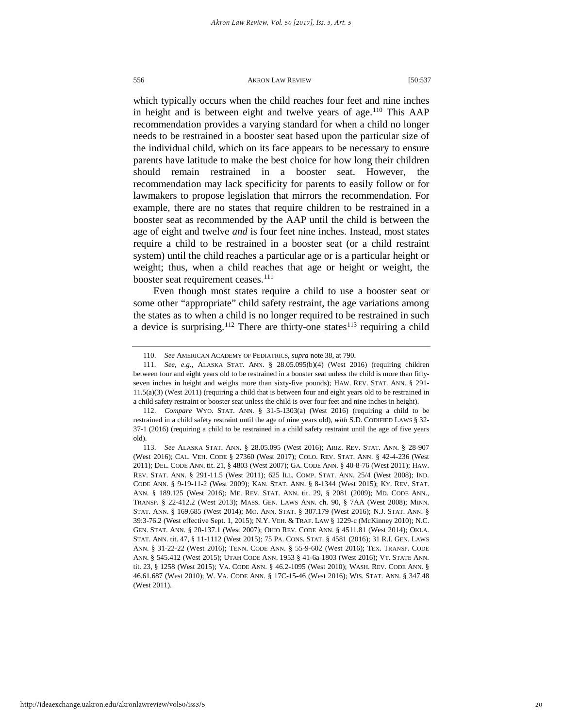which typically occurs when the child reaches four feet and nine inches in height and is between eight and twelve years of age.<sup>[110](#page-20-0)</sup> This AAP recommendation provides a varying standard for when a child no longer needs to be restrained in a booster seat based upon the particular size of the individual child, which on its face appears to be necessary to ensure parents have latitude to make the best choice for how long their children should remain restrained in a booster seat. However, the recommendation may lack specificity for parents to easily follow or for lawmakers to propose legislation that mirrors the recommendation. For example, there are no states that require children to be restrained in a booster seat as recommended by the AAP until the child is between the age of eight and twelve *and* is four feet nine inches. Instead, most states require a child to be restrained in a booster seat (or a child restraint system) until the child reaches a particular age or is a particular height or weight; thus, when a child reaches that age or height or weight, the booster seat requirement ceases.<sup>[111](#page-20-1)</sup>

Even though most states require a child to use a booster seat or some other "appropriate" child safety restraint, the age variations among the states as to when a child is no longer required to be restrained in such a device is surprising.<sup>[112](#page-20-2)</sup> There are thirty-one states<sup>[113](#page-20-3)</sup> requiring a child

<sup>110.</sup> *See* AMERICAN ACADEMY OF PEDIATRICS, *supra* note 38, at 790.

<span id="page-20-1"></span><span id="page-20-0"></span><sup>111.</sup> *See*, *e.g.*, ALASKA STAT. ANN. § 28.05.095(b)(4) (West 2016) (requiring children between four and eight years old to be restrained in a booster seat unless the child is more than fiftyseven inches in height and weighs more than sixty-five pounds); HAW. REV. STAT. ANN. § 291- 11.5(a)(3) (West 2011) (requiring a child that is between four and eight years old to be restrained in a child safety restraint or booster seat unless the child is over four feet and nine inches in height).

<span id="page-20-2"></span><sup>112.</sup> *Compare* WYO. STAT. ANN. § 31-5-1303(a) (West 2016) (requiring a child to be restrained in a child safety restraint until the age of nine years old), *with* S.D. CODIFIED LAWS § 32- 37-1 (2016) (requiring a child to be restrained in a child safety restraint until the age of five years old).

<span id="page-20-3"></span><sup>113.</sup> *See* ALASKA STAT. ANN. § 28.05.095 (West 2016); ARIZ. REV. STAT. ANN. § 28-907 (West 2016); CAL. VEH. CODE § 27360 (West 2017); COLO. REV. STAT. ANN. § 42-4-236 (West 2011); DEL. CODE ANN. tit. 21, § 4803 (West 2007); GA. CODE ANN. § 40-8-76 (West 2011); HAW. REV. STAT. ANN. § 291-11.5 (West 2011); 625 ILL. COMP. STAT. ANN. 25/4 (West 2008); IND. CODE ANN. § 9-19-11-2 (West 2009); KAN. STAT. ANN. § 8-1344 (West 2015); KY. REV. STAT. ANN. § 189.125 (West 2016); ME. REV. STAT. ANN. tit. 29, § 2081 (2009); MD. CODE ANN., TRANSP. § 22-412.2 (West 2013); MASS. GEN. LAWS ANN. ch. 90, § 7AA (West 2008); MINN. STAT. ANN. § 169.685 (West 2014); MO. ANN. STAT. § 307.179 (West 2016); N.J. STAT. ANN. § 39:3-76.2 (West effective Sept. 1, 2015); N.Y. VEH. & TRAF. LAW § 1229-c (McKinney 2010); N.C. GEN. STAT. ANN. § 20-137.1 (West 2007); OHIO REV. CODE ANN. § 4511.81 (West 2014); OKLA. STAT. ANN. tit. 47, § 11-1112 (West 2015); 75 PA. CONS. STAT. § 4581 (2016); 31 R.I. GEN. LAWS ANN. § 31-22-22 (West 2016); TENN. CODE ANN. § 55-9-602 (West 2016); TEX. TRANSP. CODE ANN. § 545.412 (West 2015); UTAH CODE ANN. 1953 § 41-6a-1803 (West 2016); VT. STATE ANN. tit. 23, § 1258 (West 2015); VA. CODE ANN. § 46.2-1095 (West 2010); WASH. REV. CODE ANN. § 46.61.687 (West 2010); W. VA. CODE ANN. § 17C-15-46 (West 2016); WIS. STAT. ANN. § 347.48 (West 2011).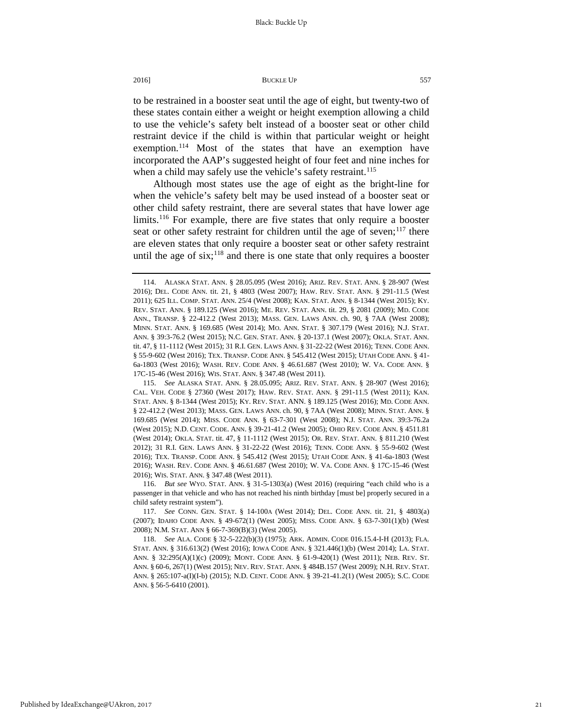to be restrained in a booster seat until the age of eight, but twenty-two of these states contain either a weight or height exemption allowing a child to use the vehicle's safety belt instead of a booster seat or other child restraint device if the child is within that particular weight or height exemption.<sup>[114](#page-21-0)</sup> Most of the states that have an exemption have incorporated the AAP's suggested height of four feet and nine inches for when a child may safely use the vehicle's safety restraint.<sup>[115](#page-21-1)</sup>

Although most states use the age of eight as the bright-line for when the vehicle's safety belt may be used instead of a booster seat or other child safety restraint, there are several states that have lower age limits.<sup>[116](#page-21-2)</sup> For example, there are five states that only require a booster seat or other safety restraint for children until the age of seven;<sup>[117](#page-21-3)</sup> there are eleven states that only require a booster seat or other safety restraint until the age of  $six$ ;<sup>[118](#page-21-4)</sup> and there is one state that only requires a booster

<span id="page-21-2"></span>116. *But see* WYO. STAT. ANN. § 31-5-1303(a) (West 2016) (requiring "each child who is a passenger in that vehicle and who has not reached his ninth birthday [must be] properly secured in a child safety restraint system").

<span id="page-21-3"></span>117. *See* CONN. GEN. STAT. § 14-100A (West 2014); DEL. CODE ANN. tit. 21, § 4803(a) (2007); IDAHO CODE ANN. § 49-672(1) (West 2005); MISS. CODE ANN. § 63-7-301(1)(b) (West 2008); N.M. STAT. ANN § 66-7-369(B)(3) (West 2005).

<span id="page-21-4"></span>118. *See* ALA. CODE § 32-5-222(b)(3) (1975); ARK. ADMIN. CODE 016.15.4-I-H (2013); FLA. STAT. ANN. § 316.613(2) (West 2016); IOWA CODE ANN. § 321.446(1)(b) (West 2014); LA. STAT. ANN. § 32:295(A)(1)(c) (2009); MONT. CODE ANN. § 61-9-420(1) (West 2011); NEB. REV. ST. ANN. § 60-6, 267(1) (West 2015); NEV. REV. STAT. ANN. § 484B.157 (West 2009); N.H. REV. STAT. ANN. § 265:107-a(I)(I-b) (2015); N.D. CENT. CODE ANN. § 39-21-41.2(1) (West 2005); S.C. CODE ANN. § 56-5-6410 (2001).

<span id="page-21-0"></span><sup>114.</sup> ALASKA STAT. ANN. § 28.05.095 (West 2016); ARIZ. REV. STAT. ANN. § 28-907 (West 2016); DEL. CODE ANN. tit. 21, § 4803 (West 2007); HAW. REV. STAT. ANN. § 291-11.5 (West 2011); 625 ILL. COMP. STAT. ANN. 25/4 (West 2008); KAN. STAT. ANN. § 8-1344 (West 2015); KY. REV. STAT. ANN. § 189.125 (West 2016); ME. REV. STAT. ANN. tit. 29, § 2081 (2009); MD. CODE ANN., TRANSP. § 22-412.2 (West 2013); MASS. GEN. LAWS ANN. ch. 90, § 7AA (West 2008); MINN. STAT. ANN. § 169.685 (West 2014); MO. ANN. STAT. § 307.179 (West 2016); N.J. STAT. ANN. § 39:3-76.2 (West 2015); N.C. GEN. STAT. ANN. § 20-137.1 (West 2007); OKLA. STAT. ANN. tit. 47, § 11-1112 (West 2015); 31 R.I. GEN. LAWS ANN. § 31-22-22 (West 2016); TENN. CODE ANN. § 55-9-602 (West 2016); TEX. TRANSP. CODE ANN. § 545.412 (West 2015); UTAH CODE ANN. § 41- 6a-1803 (West 2016); WASH. REV. CODE ANN. § 46.61.687 (West 2010); W. VA. CODE ANN. § 17C-15-46 (West 2016); WIS. STAT. ANN. § 347.48 (West 2011).

<span id="page-21-1"></span><sup>115.</sup> *See* ALASKA STAT. ANN. § 28.05.095; ARIZ. REV. STAT. ANN. § 28-907 (West 2016); CAL. VEH. CODE § 27360 (West 2017); HAW. REV. STAT. ANN. § 291-11.5 (West 2011); KAN. STAT. ANN. § 8-1344 (West 2015); KY. REV. STAT. ANN. § 189.125 (West 2016); MD. CODE ANN. § 22-412.2 (West 2013); MASS. GEN. LAWS ANN. ch. 90, § 7AA (West 2008); MINN. STAT. ANN. § 169.685 (West 2014); MISS. CODE ANN. § 63-7-301 (West 2008); N.J. STAT. ANN. 39:3-76.2a (West 2015); N.D. CENT. CODE. ANN. § 39-21-41.2 (West 2005); OHIO REV. CODE ANN. § 4511.81 (West 2014); OKLA. STAT. tit. 47, § 11-1112 (West 2015); OR. REV. STAT. ANN. § 811.210 (West 2012); 31 R.I. GEN. LAWS ANN. § 31-22-22 (West 2016); TENN. CODE ANN. § 55-9-602 (West 2016); TEX. TRANSP. CODE ANN. § 545.412 (West 2015); UTAH CODE ANN. § 41-6a-1803 (West 2016); WASH. REV. CODE ANN. § 46.61.687 (West 2010); W. VA. CODE ANN. § 17C-15-46 (West 2016); WIS. STAT. ANN. § 347.48 (West 2011).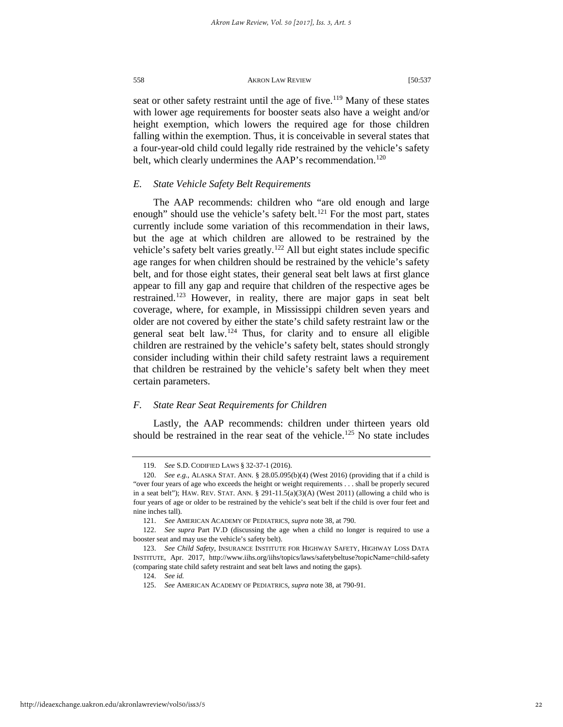seat or other safety restraint until the age of five.<sup>[119](#page-22-0)</sup> Many of these states with lower age requirements for booster seats also have a weight and/or height exemption, which lowers the required age for those children falling within the exemption. Thus, it is conceivable in several states that a four-year-old child could legally ride restrained by the vehicle's safety belt, which clearly undermines the AAP's recommendation.<sup>[120](#page-22-1)</sup>

#### *E. State Vehicle Safety Belt Requirements*

The AAP recommends: children who "are old enough and large enough" should use the vehicle's safety belt.<sup>[121](#page-22-2)</sup> For the most part, states currently include some variation of this recommendation in their laws, but the age at which children are allowed to be restrained by the vehicle's safety belt varies greatly.<sup>[122](#page-22-3)</sup> All but eight states include specific age ranges for when children should be restrained by the vehicle's safety belt, and for those eight states, their general seat belt laws at first glance appear to fill any gap and require that children of the respective ages be restrained.<sup>[123](#page-22-4)</sup> However, in reality, there are major gaps in seat belt coverage, where, for example, in Mississippi children seven years and older are not covered by either the state's child safety restraint law or the general seat belt law.[124](#page-22-5) Thus, for clarity and to ensure all eligible children are restrained by the vehicle's safety belt, states should strongly consider including within their child safety restraint laws a requirement that children be restrained by the vehicle's safety belt when they meet certain parameters.

#### *F. State Rear Seat Requirements for Children*

Lastly, the AAP recommends: children under thirteen years old should be restrained in the rear seat of the vehicle.<sup>[125](#page-22-6)</sup> No state includes

<sup>119.</sup> *See* S.D. CODIFIED LAWS § 32-37-1 (2016).

<span id="page-22-1"></span><span id="page-22-0"></span><sup>120.</sup> *See e.g.*, ALASKA STAT. ANN. § 28.05.095(b)(4) (West 2016) (providing that if a child is "over four years of age who exceeds the height or weight requirements . . . shall be properly secured in a seat belt"); HAW. REV. STAT. ANN. §  $291-11.5(a)(3)(A)$  (West 2011) (allowing a child who is four years of age or older to be restrained by the vehicle's seat belt if the child is over four feet and nine inches tall).

<sup>121.</sup> *See* AMERICAN ACADEMY OF PEDIATRICS, *supra* note 38, at 790.

<span id="page-22-3"></span><span id="page-22-2"></span><sup>122.</sup> *See supra* Part IV.D (discussing the age when a child no longer is required to use a booster seat and may use the vehicle's safety belt).

<span id="page-22-6"></span><span id="page-22-5"></span><span id="page-22-4"></span><sup>123.</sup> *See Child Safety*, INSURANCE INSTITUTE FOR HIGHWAY SAFETY, HIGHWAY LOSS DATA INSTITUTE, Apr. 2017, http://www.iihs.org/iihs/topics/laws/safetybeltuse?topicName=child-safety (comparing state child safety restraint and seat belt laws and noting the gaps).

<sup>124.</sup> *See id.*

<sup>125.</sup> *See* AMERICAN ACADEMY OF PEDIATRICS, *supra* note 38, at 790-91.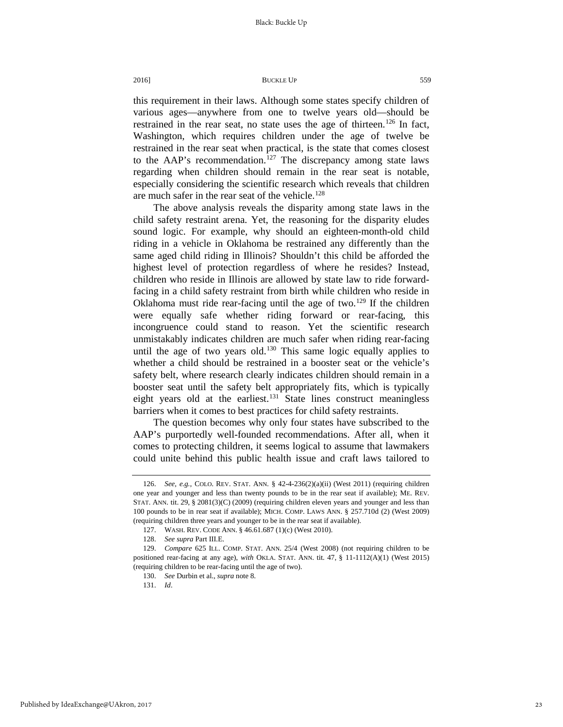this requirement in their laws. Although some states specify children of various ages—anywhere from one to twelve years old—should be restrained in the rear seat, no state uses the age of thirteen.<sup>[126](#page-23-0)</sup> In fact, Washington, which requires children under the age of twelve be restrained in the rear seat when practical, is the state that comes closest to the AAP's recommendation.<sup>[127](#page-23-1)</sup> The discrepancy among state laws regarding when children should remain in the rear seat is notable, especially considering the scientific research which reveals that children are much safer in the rear seat of the vehicle.<sup>[128](#page-23-2)</sup>

The above analysis reveals the disparity among state laws in the child safety restraint arena. Yet, the reasoning for the disparity eludes sound logic. For example, why should an eighteen-month-old child riding in a vehicle in Oklahoma be restrained any differently than the same aged child riding in Illinois? Shouldn't this child be afforded the highest level of protection regardless of where he resides? Instead, children who reside in Illinois are allowed by state law to ride forwardfacing in a child safety restraint from birth while children who reside in Oklahoma must ride rear-facing until the age of two.<sup>[129](#page-23-3)</sup> If the children were equally safe whether riding forward or rear-facing, this incongruence could stand to reason. Yet the scientific research unmistakably indicates children are much safer when riding rear-facing until the age of two years old.<sup>[130](#page-23-4)</sup> This same logic equally applies to whether a child should be restrained in a booster seat or the vehicle's safety belt, where research clearly indicates children should remain in a booster seat until the safety belt appropriately fits, which is typically eight years old at the earliest. $131$  State lines construct meaningless barriers when it comes to best practices for child safety restraints.

The question becomes why only four states have subscribed to the AAP's purportedly well-founded recommendations. After all, when it comes to protecting children, it seems logical to assume that lawmakers could unite behind this public health issue and craft laws tailored to

<span id="page-23-0"></span><sup>126.</sup> *See, e.g.*, COLO. REV. STAT. ANN. § 42-4-236(2)(a)(ii) (West 2011) (requiring children one year and younger and less than twenty pounds to be in the rear seat if available); ME. REV. STAT. ANN. tit. 29, § 2081(3)(C) (2009) (requiring children eleven years and younger and less than 100 pounds to be in rear seat if available); MICH. COMP. LAWS ANN. § 257.710d (2) (West 2009) (requiring children three years and younger to be in the rear seat if available).

<sup>127.</sup> WASH. REV. CODE ANN. § 46.61.687 (1)(c) (West 2010).

<sup>128.</sup> *See supra* Part III.E.

<span id="page-23-5"></span><span id="page-23-4"></span><span id="page-23-3"></span><span id="page-23-2"></span><span id="page-23-1"></span><sup>129.</sup> *Compare* 625 ILL. COMP. STAT. ANN. 25/4 (West 2008) (not requiring children to be positioned rear-facing at any age), *with* OKLA. STAT. ANN. tit. 47, § 11-1112(A)(1) (West 2015) (requiring children to be rear-facing until the age of two).

<sup>130.</sup> *See* Durbin et al., *supra* note 8.

<sup>131.</sup> *Id*.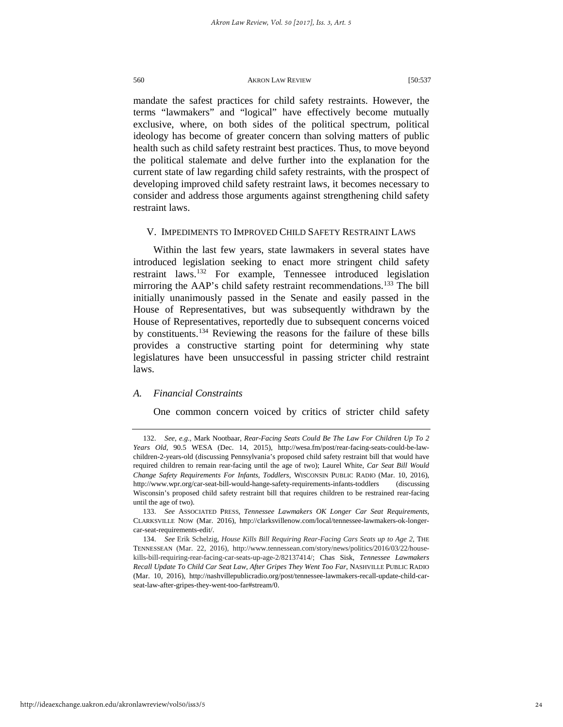mandate the safest practices for child safety restraints. However, the terms "lawmakers" and "logical" have effectively become mutually exclusive, where, on both sides of the political spectrum, political ideology has become of greater concern than solving matters of public health such as child safety restraint best practices. Thus, to move beyond the political stalemate and delve further into the explanation for the current state of law regarding child safety restraints, with the prospect of developing improved child safety restraint laws, it becomes necessary to consider and address those arguments against strengthening child safety restraint laws.

#### V. IMPEDIMENTS TO IMPROVED CHILD SAFETY RESTRAINT LAWS

Within the last few years, state lawmakers in several states have introduced legislation seeking to enact more stringent child safety restraint laws.[132](#page-24-0) For example, Tennessee introduced legislation mirroring the AAP's child safety restraint recommendations.<sup>[133](#page-24-1)</sup> The bill initially unanimously passed in the Senate and easily passed in the House of Representatives, but was subsequently withdrawn by the House of Representatives, reportedly due to subsequent concerns voiced by constituents.[134](#page-24-2) Reviewing the reasons for the failure of these bills provides a constructive starting point for determining why state legislatures have been unsuccessful in passing stricter child restraint laws.

#### *A. Financial Constraints*

One common concern voiced by critics of stricter child safety

<span id="page-24-0"></span><sup>132.</sup> *See*, *e.g.*, Mark Nootbaar, *Rear-Facing Seats Could Be The Law For Children Up To 2 Years Old,* 90.5 WESA (Dec. 14, 2015), http://wesa.fm/post/rear-facing-seats-could-be-lawchildren-2-years-old (discussing Pennsylvania's proposed child safety restraint bill that would have required children to remain rear-facing until the age of two); Laurel White, *Car Seat Bill Would Change Safety Requirements For Infants, Toddlers*, WISCONSIN PUBLIC RADIO (Mar. 10, 2016), http://www.wpr.org/car-seat-bill-would-hange-safety-requirements-infants-toddlers (discussing Wisconsin's proposed child safety restraint bill that requires children to be restrained rear-facing until the age of two).

<span id="page-24-1"></span><sup>133.</sup> *See* ASSOCIATED PRESS, *Tennessee Lawmakers OK Longer Car Seat Requirements,* CLARKSVILLE NOW (Mar. 2016), http://clarksvillenow.com/local/tennessee-lawmakers-ok-longercar-seat-requirements-edit/.

<span id="page-24-2"></span><sup>134.</sup> *See* Erik Schelzig, *House Kills Bill Requiring Rear-Facing Cars Seats up to Age 2*, THE TENNESSEAN (Mar. 22, 2016), http://www.tennessean.com/story/news/politics/2016/03/22/housekills-bill-requiring-rear-facing-car-seats-up-age-2/82137414/; Chas Sisk, *Tennessee Lawmakers Recall Update To Child Car Seat Law, After Gripes They Went Too Far*, NASHVILLE PUBLIC RADIO (Mar. 10, 2016), http://nashvillepublicradio.org/post/tennessee-lawmakers-recall-update-child-carseat-law-after-gripes-they-went-too-far#stream/0.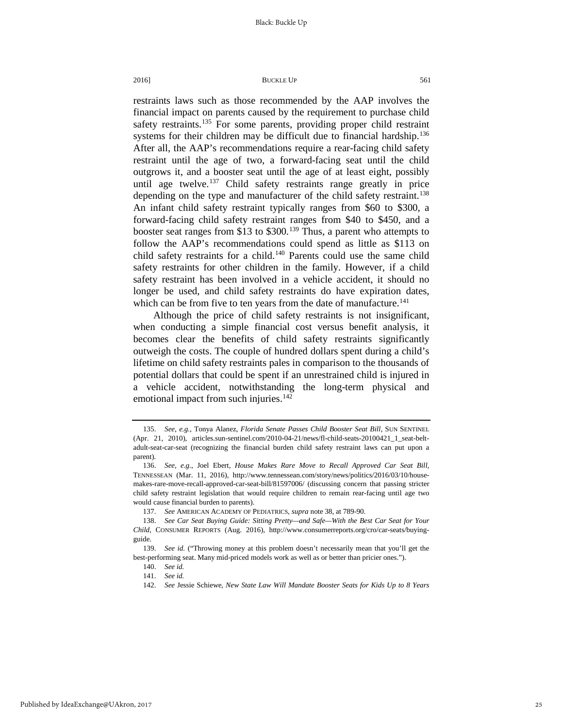restraints laws such as those recommended by the AAP involves the financial impact on parents caused by the requirement to purchase child safety restraints.<sup>[135](#page-25-0)</sup> For some parents, providing proper child restraint systems for their children may be difficult due to financial hardship.<sup>136</sup> After all, the AAP's recommendations require a rear-facing child safety restraint until the age of two, a forward-facing seat until the child outgrows it, and a booster seat until the age of at least eight, possibly until age twelve.<sup>[137](#page-25-2)</sup> Child safety restraints range greatly in price depending on the type and manufacturer of the child safety restraint.<sup>138</sup> An infant child safety restraint typically ranges from \$60 to \$300, a forward-facing child safety restraint ranges from \$40 to \$450, and a booster seat ranges from \$13 to \$300.<sup>[139](#page-25-4)</sup> Thus, a parent who attempts to follow the AAP's recommendations could spend as little as \$113 on child safety restraints for a child.<sup>140</sup> Parents could use the same child safety restraints for other children in the family. However, if a child safety restraint has been involved in a vehicle accident, it should no longer be used, and child safety restraints do have expiration dates, which can be from five to ten years from the date of manufacture.<sup>[141](#page-25-6)</sup>

Although the price of child safety restraints is not insignificant, when conducting a simple financial cost versus benefit analysis, it becomes clear the benefits of child safety restraints significantly outweigh the costs. The couple of hundred dollars spent during a child's lifetime on child safety restraints pales in comparison to the thousands of potential dollars that could be spent if an unrestrained child is injured in a vehicle accident, notwithstanding the long-term physical and emotional impact from such injuries.<sup>[142](#page-25-7)</sup>

<span id="page-25-0"></span><sup>135.</sup> *See*, *e.g.*, Tonya Alanez, *Florida Senate Passes Child Booster Seat Bill*, SUN SENTINEL (Apr. 21, 2010), articles.sun-sentinel.com/2010-04-21/news/fl-child-seats-20100421\_1\_seat-beltadult-seat-car-seat (recognizing the financial burden child safety restraint laws can put upon a parent).

<span id="page-25-1"></span><sup>136.</sup> *See*, *e.g.*, Joel Ebert, *House Makes Rare Move to Recall Approved Car Seat Bill*, TENNESSEAN (Mar. 11, 2016), http://www.tennessean.com/story/news/politics/2016/03/10/housemakes-rare-move-recall-approved-car-seat-bill/81597006/ (discussing concern that passing stricter child safety restraint legislation that would require children to remain rear-facing until age two would cause financial burden to parents).

<sup>137.</sup> *See* AMERICAN ACADEMY OF PEDIATRICS, *supra* note 38, at 789-90.

<span id="page-25-3"></span><span id="page-25-2"></span><sup>138.</sup> *See Car Seat Buying Guide: Sitting Pretty—and Safe—With the Best Car Seat for Your Child,* CONSUMER REPORTS (Aug. 2016), http://www.consumerreports.org/cro/car-seats/buyingguide.

<span id="page-25-7"></span><span id="page-25-6"></span><span id="page-25-5"></span><span id="page-25-4"></span><sup>139.</sup> *See id.* ("Throwing money at this problem doesn't necessarily mean that you'll get the best-performing seat. Many mid-priced models work as well as or better than pricier ones.").

<sup>140.</sup> *See id.*

<sup>141.</sup> *See id.*

<sup>142.</sup> *See* Jessie Schiewe, *New State Law Will Mandate Booster Seats for Kids Up to 8 Years*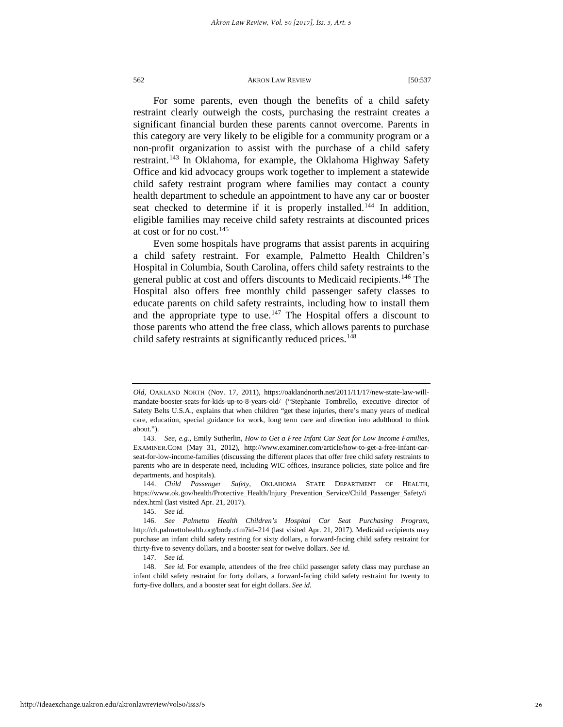For some parents, even though the benefits of a child safety restraint clearly outweigh the costs, purchasing the restraint creates a significant financial burden these parents cannot overcome. Parents in this category are very likely to be eligible for a community program or a non-profit organization to assist with the purchase of a child safety restraint.<sup>[143](#page-26-0)</sup> In Oklahoma, for example, the Oklahoma Highway Safety Office and kid advocacy groups work together to implement a statewide child safety restraint program where families may contact a county health department to schedule an appointment to have any car or booster seat checked to determine if it is properly installed.<sup>[144](#page-26-1)</sup> In addition, eligible families may receive child safety restraints at discounted prices at cost or for no cost.[145](#page-26-2)

Even some hospitals have programs that assist parents in acquiring a child safety restraint. For example, Palmetto Health Children's Hospital in Columbia, South Carolina, offers child safety restraints to the general public at cost and offers discounts to Medicaid recipients[.146](#page-26-3) The Hospital also offers free monthly child passenger safety classes to educate parents on child safety restraints, including how to install them and the appropriate type to use.[147](#page-26-4) The Hospital offers a discount to those parents who attend the free class, which allows parents to purchase child safety restraints at significantly reduced prices.<sup>[148](#page-26-5)</sup>

*Old*, OAKLAND NORTH (Nov. 17, 2011), https://oaklandnorth.net/2011/11/17/new-state-law-willmandate-booster-seats-for-kids-up-to-8-years-old/ ("Stephanie Tombrello, executive director of Safety Belts U.S.A., explains that when children "get these injuries, there's many years of medical care, education, special guidance for work, long term care and direction into adulthood to think about.").

<span id="page-26-0"></span><sup>143.</sup> *See*, *e.g.*, Emily Sutherlin, *How to Get a Free Infant Car Seat for Low Income Families*, EXAMINER.COM (May 31, 2012), http://www.examiner.com/article/how-to-get-a-free-infant-carseat-for-low-income-families (discussing the different places that offer free child safety restraints to parents who are in desperate need, including WIC offices, insurance policies, state police and fire departments, and hospitals).

<span id="page-26-1"></span><sup>144.</sup> *Child Passenger Safety*, OKLAHOMA STATE DEPARTMENT OF HEALTH, https://www.ok.gov/health/Protective\_Health/Injury\_Prevention\_Service/Child\_Passenger\_Safety/i ndex.html (last visited Apr. 21, 2017).

<sup>145.</sup> *See id.*

<span id="page-26-3"></span><span id="page-26-2"></span><sup>146.</sup> *See Palmetto Health Children's Hospital Car Seat Purchasing Program*, http://ch.palmettohealth.org/body.cfm?id=214 (last visited Apr. 21, 2017). Medicaid recipients may purchase an infant child safety restring for sixty dollars, a forward-facing child safety restraint for thirty-five to seventy dollars, and a booster seat for twelve dollars. *See id.*

<sup>147.</sup> *See id.*

<span id="page-26-5"></span><span id="page-26-4"></span><sup>148.</sup> *See id.* For example, attendees of the free child passenger safety class may purchase an infant child safety restraint for forty dollars, a forward-facing child safety restraint for twenty to forty-five dollars, and a booster seat for eight dollars. *See id.*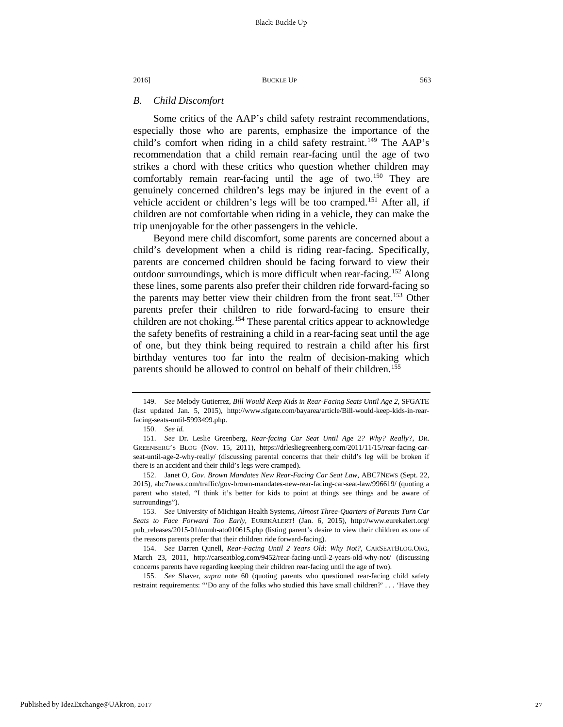### *B. Child Discomfort*

Some critics of the AAP's child safety restraint recommendations, especially those who are parents, emphasize the importance of the child's comfort when riding in a child safety restraint.<sup>[149](#page-27-0)</sup> The AAP's recommendation that a child remain rear-facing until the age of two strikes a chord with these critics who question whether children may comfortably remain rear-facing until the age of two.<sup>[150](#page-27-1)</sup> They are genuinely concerned children's legs may be injured in the event of a vehicle accident or children's legs will be too cramped.<sup>[151](#page-27-2)</sup> After all, if children are not comfortable when riding in a vehicle, they can make the trip unenjoyable for the other passengers in the vehicle.

Beyond mere child discomfort, some parents are concerned about a child's development when a child is riding rear-facing. Specifically, parents are concerned children should be facing forward to view their outdoor surroundings, which is more difficult when rear-facing.[152](#page-27-3) Along these lines, some parents also prefer their children ride forward-facing so the parents may better view their children from the front seat.<sup>[153](#page-27-4)</sup> Other parents prefer their children to ride forward-facing to ensure their children are not choking.<sup>[154](#page-27-5)</sup> These parental critics appear to acknowledge the safety benefits of restraining a child in a rear-facing seat until the age of one, but they think being required to restrain a child after his first birthday ventures too far into the realm of decision-making which parents should be allowed to control on behalf of their children.<sup>[155](#page-27-6)</sup>

<span id="page-27-6"></span>155. *See* Shaver, *supra* note 60 (quoting parents who questioned rear-facing child safety restraint requirements: "'Do any of the folks who studied this have small children?' . . . 'Have they

<span id="page-27-0"></span><sup>149.</sup> *See* Melody Gutierrez, *Bill Would Keep Kids in Rear-Facing Seats Until Age 2*, SFGATE (last updated Jan. 5, 2015), http://www.sfgate.com/bayarea/article/Bill-would-keep-kids-in-rearfacing-seats-until-5993499.php.

<sup>150.</sup> *See id.*

<span id="page-27-2"></span><span id="page-27-1"></span><sup>151.</sup> *See* Dr. Leslie Greenberg, *Rear-facing Car Seat Until Age 2? Why? Really?*, DR. GREENBERG'S BLOG (Nov. 15, 2011), https://drlesliegreenberg.com/2011/11/15/rear-facing-carseat-until-age-2-why-really/ (discussing parental concerns that their child's leg will be broken if there is an accident and their child's legs were cramped).

<span id="page-27-3"></span><sup>152.</sup> Janet O, *Gov. Brown Mandates New Rear-Facing Car Seat Law*, ABC7NEWS (Sept. 22, 2015), abc7news.com/traffic/gov-brown-mandates-new-rear-facing-car-seat-law/996619/ (quoting a parent who stated, "I think it's better for kids to point at things see things and be aware of surroundings").

<span id="page-27-4"></span><sup>153.</sup> *See* University of Michigan Health Systems, *Almost Three-Quarters of Parents Turn Car Seats to Face Forward Too Early*, EUREKALERT! (Jan. 6, 2015), http://www.eurekalert.org/ pub\_releases/2015-01/uomh-ato010615.php (listing parent's desire to view their children as one of the reasons parents prefer that their children ride forward-facing).

<span id="page-27-5"></span><sup>154.</sup> *See* Darren Qunell, *Rear-Facing Until 2 Years Old: Why Not?,* CARSEATBLOG.ORG, March 23, 2011, http://carseatblog.com/9452/rear-facing-until-2-years-old-why-not/ (discussing concerns parents have regarding keeping their children rear-facing until the age of two).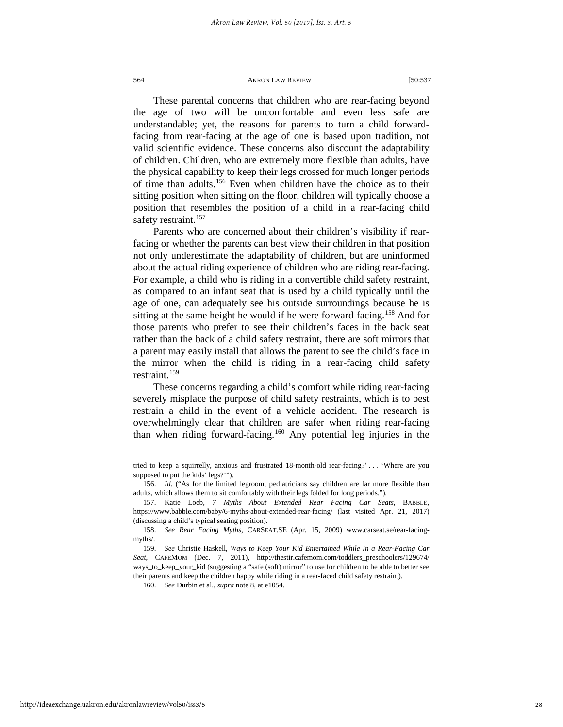These parental concerns that children who are rear-facing beyond the age of two will be uncomfortable and even less safe are understandable; yet, the reasons for parents to turn a child forwardfacing from rear-facing at the age of one is based upon tradition, not valid scientific evidence. These concerns also discount the adaptability of children. Children, who are extremely more flexible than adults, have the physical capability to keep their legs crossed for much longer periods of time than adults.[156](#page-28-0) Even when children have the choice as to their sitting position when sitting on the floor, children will typically choose a position that resembles the position of a child in a rear-facing child safety restraint.<sup>[157](#page-28-1)</sup>

Parents who are concerned about their children's visibility if rearfacing or whether the parents can best view their children in that position not only underestimate the adaptability of children, but are uninformed about the actual riding experience of children who are riding rear-facing. For example, a child who is riding in a convertible child safety restraint, as compared to an infant seat that is used by a child typically until the age of one, can adequately see his outside surroundings because he is sitting at the same height he would if he were forward-facing.<sup>[158](#page-28-2)</sup> And for those parents who prefer to see their children's faces in the back seat rather than the back of a child safety restraint, there are soft mirrors that a parent may easily install that allows the parent to see the child's face in the mirror when the child is riding in a rear-facing child safety restraint.<sup>[159](#page-28-3)</sup>

These concerns regarding a child's comfort while riding rear-facing severely misplace the purpose of child safety restraints, which is to best restrain a child in the event of a vehicle accident. The research is overwhelmingly clear that children are safer when riding rear-facing than when riding forward-facing.[160](#page-28-4) Any potential leg injuries in the

160. *See* Durbin et al., *supra* note 8, at e1054.

tried to keep a squirrelly, anxious and frustrated 18-month-old rear-facing?' . . . 'Where are you supposed to put the kids' legs?'").

<span id="page-28-0"></span><sup>156.</sup> *Id*. ("As for the limited legroom, pediatricians say children are far more flexible than adults, which allows them to sit comfortably with their legs folded for long periods.").

<span id="page-28-1"></span><sup>157.</sup> Katie Loeb, *7 Myths About Extended Rear Facing Car Seats*, BABBLE, https://www.babble.com/baby/6-myths-about-extended-rear-facing/ (last visited Apr. 21, 2017) (discussing a child's typical seating position).

<span id="page-28-2"></span><sup>158.</sup> *See Rear Facing Myths*, CARSEAT.SE (Apr. 15, 2009) www.carseat.se/rear-facingmyths/.

<span id="page-28-4"></span><span id="page-28-3"></span><sup>159.</sup> *See* Christie Haskell, *Ways to Keep Your Kid Entertained While In a Rear-Facing Car Seat*, CAFEMOM (Dec. 7, 2011), http://thestir.cafemom.com/toddlers\_preschoolers/129674/ ways\_to\_keep\_your\_kid (suggesting a "safe (soft) mirror" to use for children to be able to better see their parents and keep the children happy while riding in a rear-faced child safety restraint).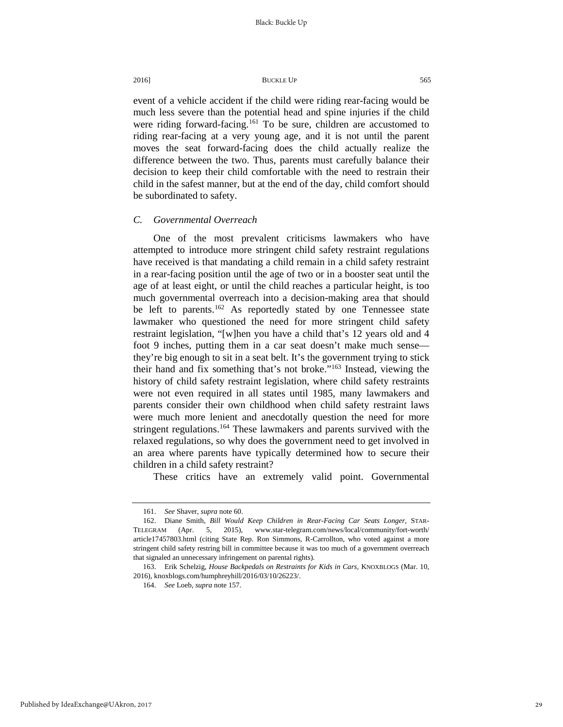event of a vehicle accident if the child were riding rear-facing would be much less severe than the potential head and spine injuries if the child were riding forward-facing.<sup>[161](#page-29-0)</sup> To be sure, children are accustomed to riding rear-facing at a very young age, and it is not until the parent moves the seat forward-facing does the child actually realize the difference between the two. Thus, parents must carefully balance their decision to keep their child comfortable with the need to restrain their child in the safest manner, but at the end of the day, child comfort should be subordinated to safety.

#### *C. Governmental Overreach*

One of the most prevalent criticisms lawmakers who have attempted to introduce more stringent child safety restraint regulations have received is that mandating a child remain in a child safety restraint in a rear-facing position until the age of two or in a booster seat until the age of at least eight, or until the child reaches a particular height, is too much governmental overreach into a decision-making area that should be left to parents.<sup>[162](#page-29-1)</sup> As reportedly stated by one Tennessee state lawmaker who questioned the need for more stringent child safety restraint legislation, "[w]hen you have a child that's 12 years old and 4 foot 9 inches, putting them in a car seat doesn't make much sense they're big enough to sit in a seat belt. It's the government trying to stick their hand and fix something that's not broke."[163](#page-29-2) Instead, viewing the history of child safety restraint legislation, where child safety restraints were not even required in all states until 1985, many lawmakers and parents consider their own childhood when child safety restraint laws were much more lenient and anecdotally question the need for more stringent regulations.<sup>[164](#page-29-3)</sup> These lawmakers and parents survived with the relaxed regulations, so why does the government need to get involved in an area where parents have typically determined how to secure their children in a child safety restraint?

These critics have an extremely valid point. Governmental

<sup>161.</sup> *See* Shaver, *supra* note 60.

<span id="page-29-1"></span><span id="page-29-0"></span><sup>162.</sup> Diane Smith, *Bill Would Keep Children in Rear-Facing Car Seats Longer*, STAR-TELEGRAM (Apr. 5, 2015), www.star-telegram.com/news/local/community/fort-worth/ article17457803.html (citing State Rep. Ron Simmons, R-Carrollton, who voted against a more stringent child safety restring bill in committee because it was too much of a government overreach that signaled an unnecessary infringement on parental rights).

<span id="page-29-3"></span><span id="page-29-2"></span><sup>163.</sup> Erik Schelzig, *House Backpedals on Restraints for Kids in Cars*, KNOXBLOGS (Mar. 10, 2016), knoxblogs.com/humphreyhill/2016/03/10/26223/.

<sup>164.</sup> *See* Loeb, *supra* note 157.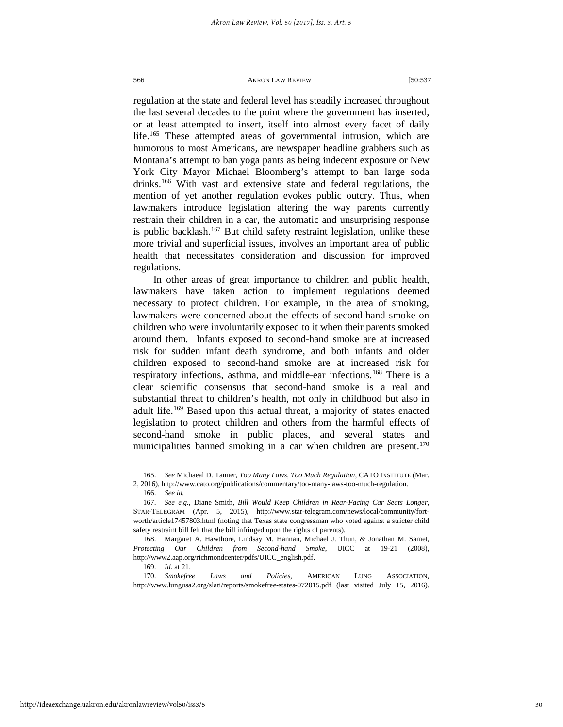regulation at the state and federal level has steadily increased throughout the last several decades to the point where the government has inserted, or at least attempted to insert, itself into almost every facet of daily life.[165](#page-30-0) These attempted areas of governmental intrusion, which are humorous to most Americans, are newspaper headline grabbers such as Montana's attempt to ban yoga pants as being indecent exposure or New York City Mayor Michael Bloomberg's attempt to ban large soda drinks.<sup>[166](#page-30-1)</sup> With vast and extensive state and federal regulations, the mention of yet another regulation evokes public outcry. Thus, when lawmakers introduce legislation altering the way parents currently restrain their children in a car, the automatic and unsurprising response is public backlash.<sup>[167](#page-30-2)</sup> But child safety restraint legislation, unlike these more trivial and superficial issues, involves an important area of public health that necessitates consideration and discussion for improved regulations.

In other areas of great importance to children and public health, lawmakers have taken action to implement regulations deemed necessary to protect children. For example, in the area of smoking, lawmakers were concerned about the effects of second-hand smoke on children who were involuntarily exposed to it when their parents smoked around them. Infants exposed to second-hand smoke are at increased risk for sudden infant death syndrome, and both infants and older children exposed to second-hand smoke are at increased risk for respiratory infections, asthma, and middle-ear infections.<sup>[168](#page-30-3)</sup> There is a clear scientific consensus that second-hand smoke is a real and substantial threat to children's health, not only in childhood but also in adult life.<sup>[169](#page-30-4)</sup> Based upon this actual threat, a majority of states enacted legislation to protect children and others from the harmful effects of second-hand smoke in public places, and several states and municipalities banned smoking in a car when children are present.<sup>170</sup>

166. *See id.*

169. *Id.* at 21.

<span id="page-30-5"></span><span id="page-30-4"></span>170. *Smokefree Laws and Policies*, AMERICAN LUNG ASSOCIATION, http://www.lungusa2.org/slati/reports/smokefree-states-072015.pdf (last visited July 15, 2016).

<span id="page-30-0"></span><sup>165.</sup> *See* Michaeal D. Tanner, *Too Many Laws, Too Much Regulation*, CATO INSTITUTE (Mar. 2, 2016), http://www.cato.org/publications/commentary/too-many-laws-too-much-regulation.

<span id="page-30-2"></span><span id="page-30-1"></span><sup>167.</sup> *See e.g.*, Diane Smith, *Bill Would Keep Children in Rear-Facing Car Seats Longer*, STAR-TELEGRAM (Apr. 5, 2015), http://www.star-telegram.com/news/local/community/fortworth/article17457803.html (noting that Texas state congressman who voted against a stricter child safety restraint bill felt that the bill infringed upon the rights of parents).

<span id="page-30-3"></span><sup>168.</sup> Margaret A. Hawthore, Lindsay M. Hannan, Michael J. Thun, & Jonathan M. Samet, *Protecting Our Children from Second-hand Smoke*, UICC at 19-21 (2008), http://www2.aap.org/richmondcenter/pdfs/UICC\_english.pdf.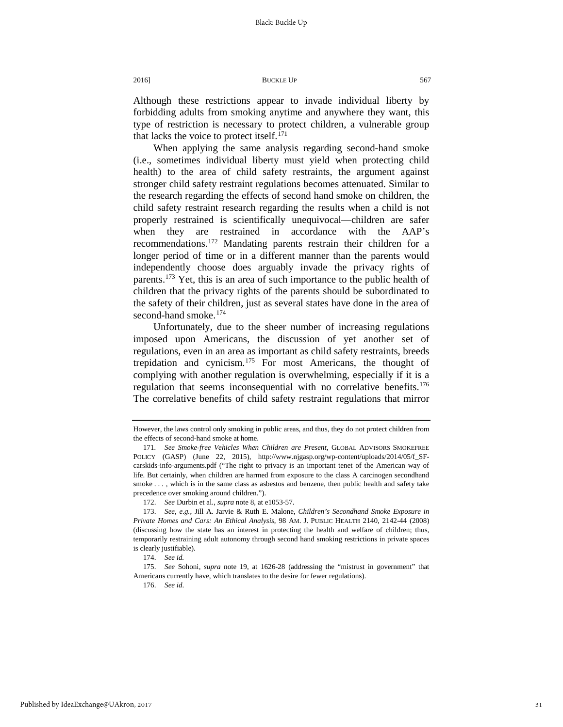Although these restrictions appear to invade individual liberty by forbidding adults from smoking anytime and anywhere they want, this type of restriction is necessary to protect children, a vulnerable group that lacks the voice to protect itself.<sup>[171](#page-31-0)</sup>

When applying the same analysis regarding second-hand smoke (i.e., sometimes individual liberty must yield when protecting child health) to the area of child safety restraints, the argument against stronger child safety restraint regulations becomes attenuated. Similar to the research regarding the effects of second hand smoke on children, the child safety restraint research regarding the results when a child is not properly restrained is scientifically unequivocal—children are safer when they are restrained in accordance with the AAP's recommendations[.172](#page-31-1) Mandating parents restrain their children for a longer period of time or in a different manner than the parents would independently choose does arguably invade the privacy rights of parents.[173](#page-31-2) Yet, this is an area of such importance to the public health of children that the privacy rights of the parents should be subordinated to the safety of their children, just as several states have done in the area of second-hand smoke.<sup>[174](#page-31-3)</sup>

Unfortunately, due to the sheer number of increasing regulations imposed upon Americans, the discussion of yet another set of regulations, even in an area as important as child safety restraints, breeds trepidation and cynicism.[175](#page-31-4) For most Americans, the thought of complying with another regulation is overwhelming, especially if it is a regulation that seems inconsequential with no correlative benefits.<sup>176</sup> The correlative benefits of child safety restraint regulations that mirror

However, the laws control only smoking in public areas, and thus, they do not protect children from the effects of second-hand smoke at home.

<span id="page-31-0"></span><sup>171</sup>*. See Smoke-free Vehicles When Children are Present*, GLOBAL ADVISORS SMOKEFREE POLICY (GASP) (June 22, 2015), http://www.njgasp.org/wp-content/uploads/2014/05/f\_SFcarskids-info-arguments.pdf ("The right to privacy is an important tenet of the American way of life. But certainly, when children are harmed from exposure to the class A carcinogen secondhand smoke . . . , which is in the same class as asbestos and benzene, then public health and safety take precedence over smoking around children.").

<sup>172.</sup> *See* Durbin et al., *supra* note 8, at e1053-57.

<span id="page-31-2"></span><span id="page-31-1"></span><sup>173.</sup> *See*, *e.g.*, Jill A. Jarvie & Ruth E. Malone, *Children's Secondhand Smoke Exposure in Private Homes and Cars: An Ethical Analysis*, 98 AM. J. PUBLIC HEALTH 2140, 2142-44 (2008) (discussing how the state has an interest in protecting the health and welfare of children; thus, temporarily restraining adult autonomy through second hand smoking restrictions in private spaces is clearly justifiable).

<sup>174.</sup> *See id.*

<span id="page-31-5"></span><span id="page-31-4"></span><span id="page-31-3"></span><sup>175.</sup> *See* Sohoni, *supra* note 19, at 1626-28 (addressing the "mistrust in government" that Americans currently have, which translates to the desire for fewer regulations).

<sup>176.</sup> *See id*.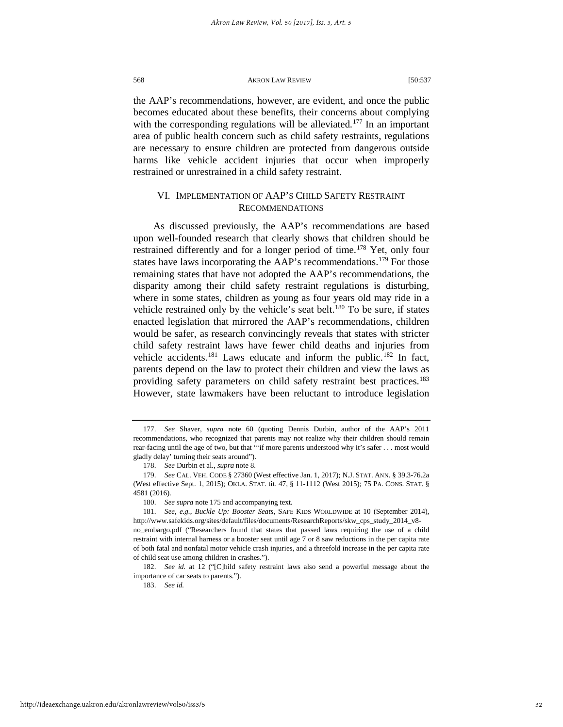the AAP's recommendations, however, are evident, and once the public becomes educated about these benefits, their concerns about complying with the corresponding regulations will be alleviated.<sup>[177](#page-32-0)</sup> In an important area of public health concern such as child safety restraints, regulations are necessary to ensure children are protected from dangerous outside harms like vehicle accident injuries that occur when improperly restrained or unrestrained in a child safety restraint.

### VI. IMPLEMENTATION OF AAP'S CHILD SAFETY RESTRAINT RECOMMENDATIONS

As discussed previously, the AAP's recommendations are based upon well-founded research that clearly shows that children should be restrained differently and for a longer period of time.<sup>[178](#page-32-1)</sup> Yet, only four states have laws incorporating the AAP's recommendations.<sup>[179](#page-32-2)</sup> For those remaining states that have not adopted the AAP's recommendations, the disparity among their child safety restraint regulations is disturbing, where in some states, children as young as four years old may ride in a vehicle restrained only by the vehicle's seat belt.<sup>[180](#page-32-3)</sup> To be sure, if states enacted legislation that mirrored the AAP's recommendations, children would be safer, as research convincingly reveals that states with stricter child safety restraint laws have fewer child deaths and injuries from vehicle accidents.<sup>[181](#page-32-4)</sup> Laws educate and inform the public.<sup>[182](#page-32-5)</sup> In fact, parents depend on the law to protect their children and view the laws as providing safety parameters on child safety restraint best practices.<sup>183</sup> However, state lawmakers have been reluctant to introduce legislation

183. *See id.*

<span id="page-32-0"></span><sup>177.</sup> *See* Shaver, *supra* note 60 (quoting Dennis Durbin, author of the AAP's 2011 recommendations, who recognized that parents may not realize why their children should remain rear-facing until the age of two, but that "'if more parents understood why it's safer . . . most would gladly delay' turning their seats around").

<sup>178.</sup> *See* Durbin et al., *supra* note 8.

<span id="page-32-2"></span><span id="page-32-1"></span><sup>179.</sup> *See* CAL. VEH. CODE § 27360 (West effective Jan. 1, 2017); N.J. STAT. ANN. § 39.3-76.2a (West effective Sept. 1, 2015); OKLA. STAT. tit. 47, § 11-1112 (West 2015); 75 PA. CONS. STAT. § 4581 (2016).

<sup>180.</sup> *See supra* note 175 and accompanying text.

<span id="page-32-4"></span><span id="page-32-3"></span><sup>181.</sup> *See*, *e.g.*, *Buckle Up: Booster Seats*, SAFE KIDS WORLDWIDE at 10 (September 2014), http://www.safekids.org/sites/default/files/documents/ResearchReports/skw\_cps\_study\_2014\_v8 no\_embargo.pdf ("Researchers found that states that passed laws requiring the use of a child restraint with internal harness or a booster seat until age 7 or 8 saw reductions in the per capita rate of both fatal and nonfatal motor vehicle crash injuries, and a threefold increase in the per capita rate of child seat use among children in crashes.").

<span id="page-32-6"></span><span id="page-32-5"></span><sup>182.</sup> *See id.* at 12 ("[C]hild safety restraint laws also send a powerful message about the importance of car seats to parents.").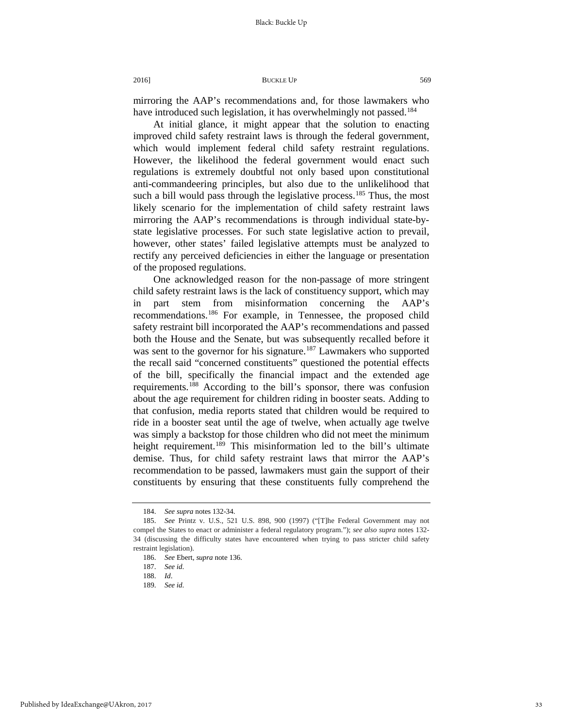mirroring the AAP's recommendations and, for those lawmakers who have introduced such legislation, it has overwhelmingly not passed.<sup>[184](#page-33-0)</sup>

At initial glance, it might appear that the solution to enacting improved child safety restraint laws is through the federal government, which would implement federal child safety restraint regulations. However, the likelihood the federal government would enact such regulations is extremely doubtful not only based upon constitutional anti-commandeering principles, but also due to the unlikelihood that such a bill would pass through the legislative process.<sup>[185](#page-33-1)</sup> Thus, the most likely scenario for the implementation of child safety restraint laws mirroring the AAP's recommendations is through individual state-bystate legislative processes. For such state legislative action to prevail, however, other states' failed legislative attempts must be analyzed to rectify any perceived deficiencies in either the language or presentation of the proposed regulations.

One acknowledged reason for the non-passage of more stringent child safety restraint laws is the lack of constituency support, which may in part stem from misinformation concerning the AAP's recommendations[.186](#page-33-2) For example, in Tennessee, the proposed child safety restraint bill incorporated the AAP's recommendations and passed both the House and the Senate, but was subsequently recalled before it was sent to the governor for his signature.<sup>[187](#page-33-3)</sup> Lawmakers who supported the recall said "concerned constituents" questioned the potential effects of the bill, specifically the financial impact and the extended age requirements.[188](#page-33-4) According to the bill's sponsor, there was confusion about the age requirement for children riding in booster seats. Adding to that confusion, media reports stated that children would be required to ride in a booster seat until the age of twelve, when actually age twelve was simply a backstop for those children who did not meet the minimum height requirement.<sup>[189](#page-33-5)</sup> This misinformation led to the bill's ultimate demise. Thus, for child safety restraint laws that mirror the AAP's recommendation to be passed, lawmakers must gain the support of their constituents by ensuring that these constituents fully comprehend the

<sup>184.</sup> *See supra* notes 132-34.

<span id="page-33-3"></span><span id="page-33-2"></span><span id="page-33-1"></span><span id="page-33-0"></span><sup>185.</sup> *See* Printz v. U.S., 521 U.S. 898, 900 (1997) ("[T]he Federal Government may not compel the States to enact or administer a federal regulatory program."); *see also supra* notes 132- 34 (discussing the difficulty states have encountered when trying to pass stricter child safety restraint legislation).

<sup>186.</sup> *See* Ebert, *supra* note 136.

<sup>187.</sup> *See id*.

<span id="page-33-4"></span><sup>188.</sup> *Id*.

<span id="page-33-5"></span><sup>189.</sup> *See id*.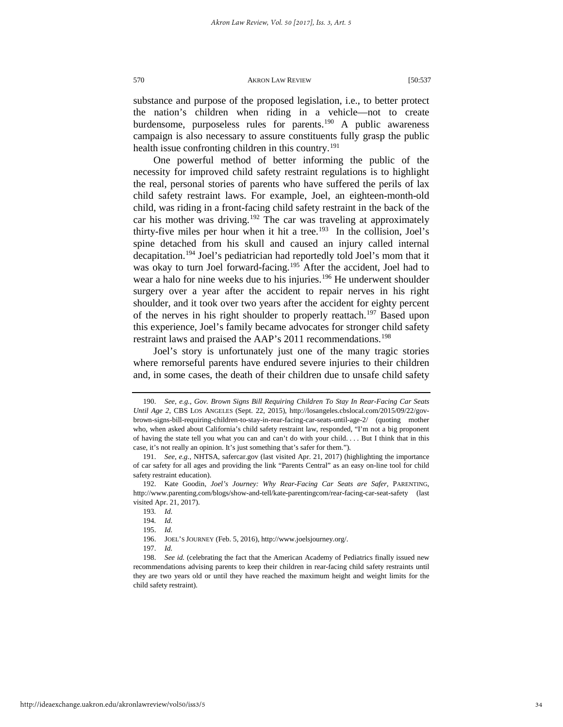substance and purpose of the proposed legislation, i.e., to better protect the nation's children when riding in a vehicle—not to create burdensome, purposeless rules for parents.<sup>[190](#page-34-0)</sup> A public awareness campaign is also necessary to assure constituents fully grasp the public health issue confronting children in this country.<sup>[191](#page-34-1)</sup>

One powerful method of better informing the public of the necessity for improved child safety restraint regulations is to highlight the real, personal stories of parents who have suffered the perils of lax child safety restraint laws. For example, Joel, an eighteen-month-old child, was riding in a front-facing child safety restraint in the back of the car his mother was driving.<sup>[192](#page-34-2)</sup> The car was traveling at approximately thirty-five miles per hour when it hit a tree.<sup>[193](#page-34-3)</sup> In the collision, Joel's spine detached from his skull and caused an injury called internal decapitation.<sup>[194](#page-34-4)</sup> Joel's pediatrician had reportedly told Joel's mom that it was okay to turn Joel forward-facing.<sup>[195](#page-34-5)</sup> After the accident, Joel had to wear a halo for nine weeks due to his injuries.<sup>[196](#page-34-6)</sup> He underwent shoulder surgery over a year after the accident to repair nerves in his right shoulder, and it took over two years after the accident for eighty percent of the nerves in his right shoulder to properly reattach.<sup>[197](#page-34-7)</sup> Based upon this experience, Joel's family became advocates for stronger child safety restraint laws and praised the AAP's 2011 recommendations.<sup>[198](#page-34-8)</sup>

Joel's story is unfortunately just one of the many tragic stories where remorseful parents have endured severe injuries to their children and, in some cases, the death of their children due to unsafe child safety

<span id="page-34-0"></span><sup>190.</sup> *See*, *e.g.*, *Gov. Brown Signs Bill Requiring Children To Stay In Rear-Facing Car Seats Until Age 2*, CBS LOS ANGELES (Sept. 22, 2015), http://losangeles.cbslocal.com/2015/09/22/govbrown-signs-bill-requiring-children-to-stay-in-rear-facing-car-seats-until-age-2/ (quoting mother who, when asked about California's child safety restraint law, responded, "I'm not a big proponent of having the state tell you what you can and can't do with your child. . . . But I think that in this case, it's not really an opinion. It's just something that's safer for them.").

<span id="page-34-1"></span><sup>191.</sup> *See*, *e.g.*, NHTSA, safercar.gov (last visited Apr. 21, 2017) (highlighting the importance of car safety for all ages and providing the link "Parents Central" as an easy on-line tool for child safety restraint education).

<span id="page-34-4"></span><span id="page-34-3"></span><span id="page-34-2"></span><sup>192.</sup> Kate Goodin, *Joel's Journey: Why Rear-Facing Car Seats are Safer*, PARENTING, http://www.parenting.com/blogs/show-and-tell/kate-parentingcom/rear-facing-car-seat-safety (last visited Apr. 21, 2017).

<sup>193</sup>*. Id.*

<sup>194</sup>*. Id.*

<sup>195.</sup> *Id.*

<sup>196.</sup> JOEL'S JOURNEY (Feb. 5, 2016), http://www.joelsjourney.org/.

<sup>197.</sup> *Id.*

<span id="page-34-8"></span><span id="page-34-7"></span><span id="page-34-6"></span><span id="page-34-5"></span><sup>198.</sup> *See id.* (celebrating the fact that the American Academy of Pediatrics finally issued new recommendations advising parents to keep their children in rear-facing child safety restraints until they are two years old or until they have reached the maximum height and weight limits for the child safety restraint).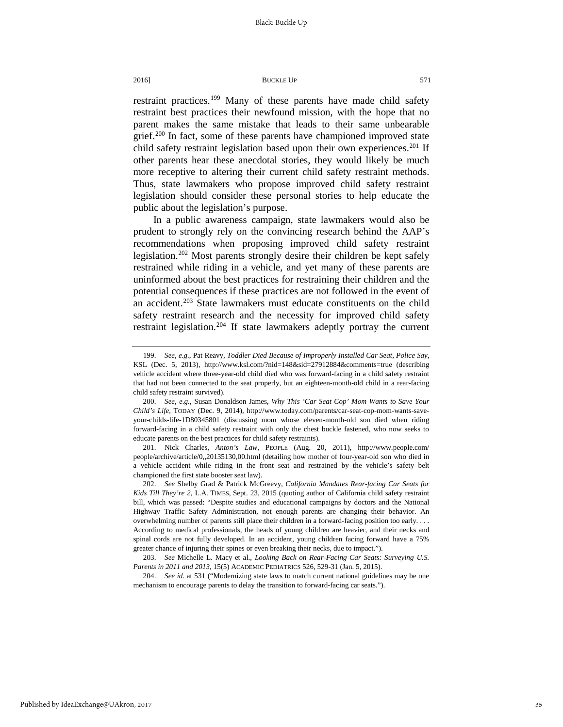restraint practices.<sup>[199](#page-35-0)</sup> Many of these parents have made child safety restraint best practices their newfound mission, with the hope that no parent makes the same mistake that leads to their same unbearable grief.<sup>[200](#page-35-1)</sup> In fact, some of these parents have championed improved state child safety restraint legislation based upon their own experiences.<sup>201</sup> If other parents hear these anecdotal stories, they would likely be much more receptive to altering their current child safety restraint methods. Thus, state lawmakers who propose improved child safety restraint legislation should consider these personal stories to help educate the public about the legislation's purpose.

In a public awareness campaign, state lawmakers would also be prudent to strongly rely on the convincing research behind the AAP's recommendations when proposing improved child safety restraint legislation.<sup>[202](#page-35-3)</sup> Most parents strongly desire their children be kept safely restrained while riding in a vehicle, and yet many of these parents are uninformed about the best practices for restraining their children and the potential consequences if these practices are not followed in the event of an accident.<sup>203</sup> State lawmakers must educate constituents on the child safety restraint research and the necessity for improved child safety restraint legislation.<sup>[204](#page-35-5)</sup> If state lawmakers adeptly portray the current

<span id="page-35-2"></span>201. Nick Charles, *Anton's Law*, PEOPLE (Aug. 20, 2011), http://www.people.com/ people/archive/article/0,,20135130,00.html (detailing how mother of four-year-old son who died in a vehicle accident while riding in the front seat and restrained by the vehicle's safety belt championed the first state booster seat law).

<span id="page-35-3"></span>202. *See* Shelby Grad & Patrick McGreevy, *California Mandates Rear-facing Car Seats for Kids Till They're 2*, L.A. TIMES, Sept. 23, 2015 (quoting author of California child safety restraint bill, which was passed: "Despite studies and educational campaigns by doctors and the National Highway Traffic Safety Administration, not enough parents are changing their behavior. An overwhelming number of parents still place their children in a forward-facing position too early. . . . According to medical professionals, the heads of young children are heavier, and their necks and spinal cords are not fully developed. In an accident, young children facing forward have a 75% greater chance of injuring their spines or even breaking their necks, due to impact.").

<span id="page-35-4"></span>203. *See* Michelle L. Macy et al., *Looking Back on Rear-Facing Car Seats: Surveying U.S. Parents in 2011 and 2013*, 15(5) ACADEMIC PEDIATRICS 526, 529-31 (Jan. 5, 2015).

<span id="page-35-5"></span>204. *See id.* at 531 ("Modernizing state laws to match current national guidelines may be one mechanism to encourage parents to delay the transition to forward-facing car seats.").

35

<span id="page-35-0"></span><sup>199.</sup> *See, e.g.*, Pat Reavy, *Toddler Died Because of Improperly Installed Car Seat, Police Say,* KSL (Dec. 5, 2013), http://www.ksl.com/?nid=148&sid=27912884&comments=true (describing vehicle accident where three-year-old child died who was forward-facing in a child safety restraint that had not been connected to the seat properly, but an eighteen-month-old child in a rear-facing child safety restraint survived).

<span id="page-35-1"></span><sup>200.</sup> *See*, *e.g.*, Susan Donaldson James, *Why This 'Car Seat Cop' Mom Wants to Save Your Child's Life*, TODAY (Dec. 9, 2014), http://www.today.com/parents/car-seat-cop-mom-wants-saveyour-childs-life-1D80345801 (discussing mom whose eleven-month-old son died when riding forward-facing in a child safety restraint with only the chest buckle fastened, who now seeks to educate parents on the best practices for child safety restraints).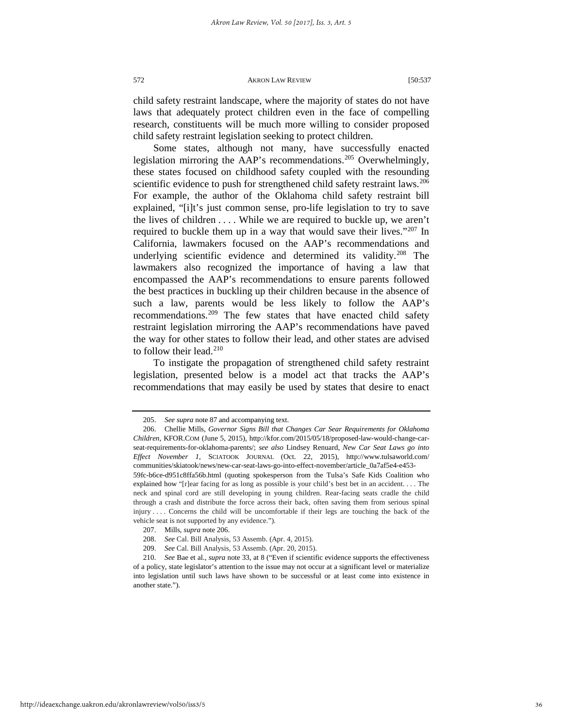child safety restraint landscape, where the majority of states do not have laws that adequately protect children even in the face of compelling research, constituents will be much more willing to consider proposed child safety restraint legislation seeking to protect children.

Some states, although not many, have successfully enacted legislation mirroring the AAP's recommendations.<sup>[205](#page-36-0)</sup> Overwhelmingly, these states focused on childhood safety coupled with the resounding scientific evidence to push for strengthened child safety restraint laws.<sup>206</sup> For example, the author of the Oklahoma child safety restraint bill explained, "[i]t's just common sense, pro-life legislation to try to save the lives of children . . . . While we are required to buckle up, we aren't required to buckle them up in a way that would save their lives.["207](#page-36-2) In California, lawmakers focused on the AAP's recommendations and underlying scientific evidence and determined its validity.<sup>[208](#page-36-3)</sup> The lawmakers also recognized the importance of having a law that encompassed the AAP's recommendations to ensure parents followed the best practices in buckling up their children because in the absence of such a law, parents would be less likely to follow the AAP's recommendations.<sup>209</sup> The few states that have enacted child safety restraint legislation mirroring the AAP's recommendations have paved the way for other states to follow their lead, and other states are advised to follow their lead.<sup>[210](#page-36-5)</sup>

To instigate the propagation of strengthened child safety restraint legislation, presented below is a model act that tracks the AAP's recommendations that may easily be used by states that desire to enact

<sup>205.</sup> *See supra* note 87 and accompanying text.

<span id="page-36-1"></span><span id="page-36-0"></span><sup>206.</sup> Chellie Mills, *Governor Signs Bill that Changes Car Sear Requirements for Oklahoma Children*, KFOR.COM (June 5, 2015), http://kfor.com/2015/05/18/proposed-law-would-change-carseat-requirements-for-oklahoma-parents/; *see also* Lindsey Renuard, *New Car Seat Laws go into Effect November 1*, SCIATOOK JOURNAL (Oct. 22, 2015), http://www.tulsaworld.com/ communities/skiatook/news/new-car-seat-laws-go-into-effect-november/article\_0a7af5e4-e453-

<sup>59</sup>fc-b6ce-d951c8ffa56b.html (quoting spokesperson from the Tulsa's Safe Kids Coalition who explained how "[r]ear facing for as long as possible is your child's best bet in an accident. . . . The neck and spinal cord are still developing in young children. Rear-facing seats cradle the child through a crash and distribute the force across their back, often saving them from serious spinal injury . . . . Concerns the child will be uncomfortable if their legs are touching the back of the vehicle seat is not supported by any evidence.").

<sup>207.</sup> Mills, *supra* note 206.

<sup>208.</sup> *See* Cal. Bill Analysis, 53 Assemb. (Apr. 4, 2015).

<sup>209.</sup> *See* Cal. Bill Analysis, 53 Assemb. (Apr. 20, 2015).

<span id="page-36-5"></span><span id="page-36-4"></span><span id="page-36-3"></span><span id="page-36-2"></span><sup>210.</sup> *See* Bae et al., *supra* note 33, at 8 ("Even if scientific evidence supports the effectiveness of a policy, state legislator's attention to the issue may not occur at a significant level or materialize into legislation until such laws have shown to be successful or at least come into existence in another state.").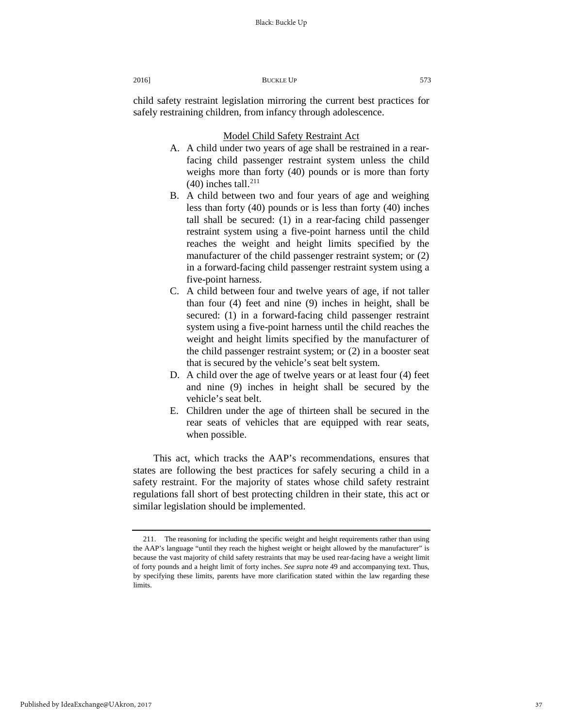child safety restraint legislation mirroring the current best practices for safely restraining children, from infancy through adolescence.

#### Model Child Safety Restraint Act

- A. A child under two years of age shall be restrained in a rearfacing child passenger restraint system unless the child weighs more than forty (40) pounds or is more than forty  $(40)$  inches tall.<sup>[211](#page-37-0)</sup>
- B. A child between two and four years of age and weighing less than forty (40) pounds or is less than forty (40) inches tall shall be secured: (1) in a rear-facing child passenger restraint system using a five-point harness until the child reaches the weight and height limits specified by the manufacturer of the child passenger restraint system; or (2) in a forward-facing child passenger restraint system using a five-point harness.
- C. A child between four and twelve years of age, if not taller than four (4) feet and nine (9) inches in height, shall be secured: (1) in a forward-facing child passenger restraint system using a five-point harness until the child reaches the weight and height limits specified by the manufacturer of the child passenger restraint system; or (2) in a booster seat that is secured by the vehicle's seat belt system.
- D. A child over the age of twelve years or at least four (4) feet and nine (9) inches in height shall be secured by the vehicle's seat belt.
- E. Children under the age of thirteen shall be secured in the rear seats of vehicles that are equipped with rear seats, when possible.

This act, which tracks the AAP's recommendations, ensures that states are following the best practices for safely securing a child in a safety restraint. For the majority of states whose child safety restraint regulations fall short of best protecting children in their state, this act or similar legislation should be implemented.

<span id="page-37-0"></span><sup>211.</sup> The reasoning for including the specific weight and height requirements rather than using the AAP's language "until they reach the highest weight or height allowed by the manufacturer" is because the vast majority of child safety restraints that may be used rear-facing have a weight limit of forty pounds and a height limit of forty inches. *See supra* note 49 and accompanying text. Thus, by specifying these limits, parents have more clarification stated within the law regarding these limits.